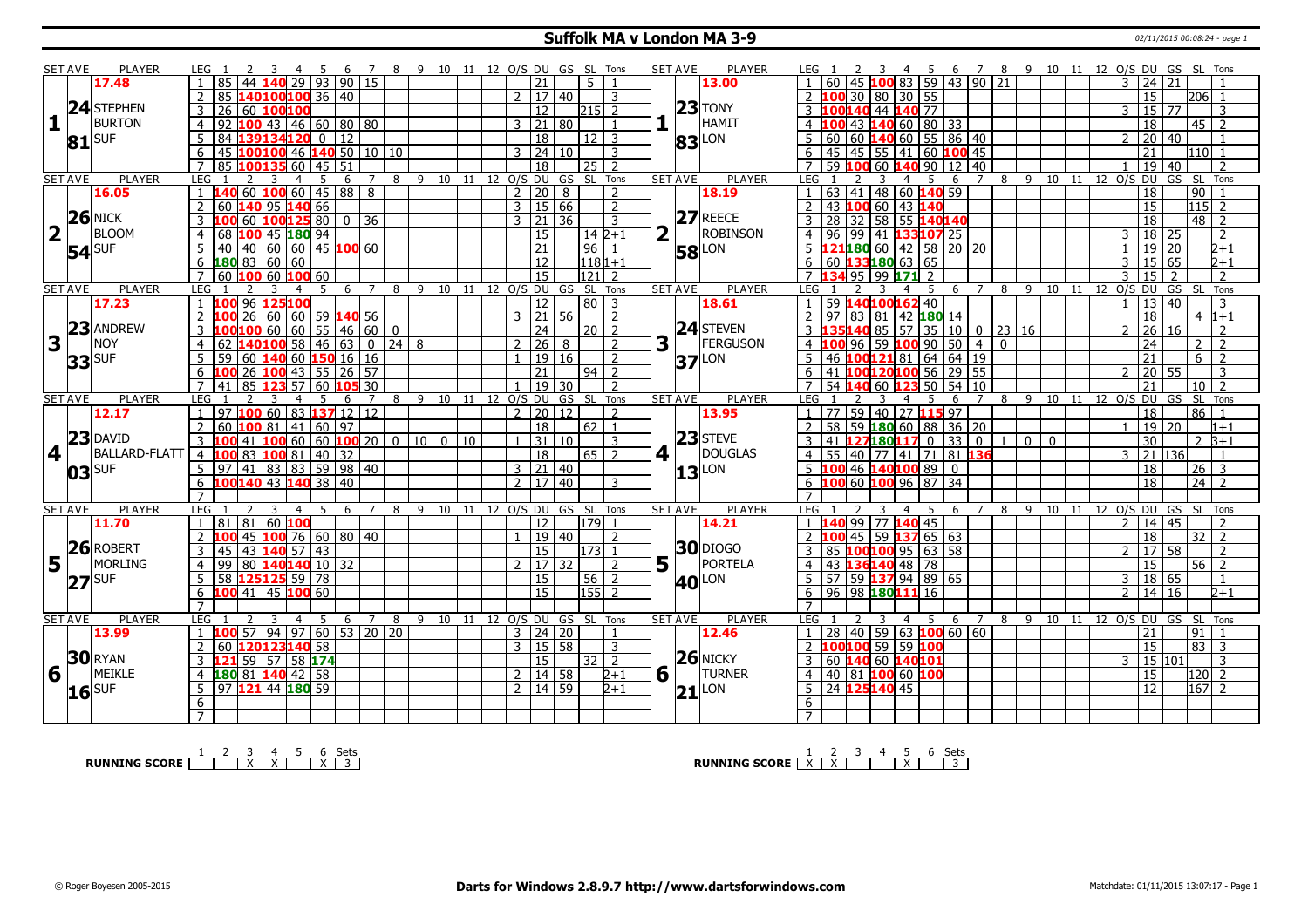#### **Suffolk MA v London MA 3-9** 02/11/2015 00:08:24 - page 1

|                 | SET AVE        | PLAYER               | LEG 1                                                             |                                | -4                  | - 5             |                 |                |   |      |        |    |                     |                 | 7 8 9 10 11 12 O/S DU GS SL Tons   |                       |   | <b>SET AVE</b> | PLAYER              |                       |               |     | -3                                                               | -4                    |                                                                                   | 6 7 8 9 10 11 12 O/S DU GS SL Tons |                |                              |    |    |                   |                |                           |                  |                                  |  |
|-----------------|----------------|----------------------|-------------------------------------------------------------------|--------------------------------|---------------------|-----------------|-----------------|----------------|---|------|--------|----|---------------------|-----------------|------------------------------------|-----------------------|---|----------------|---------------------|-----------------------|---------------|-----|------------------------------------------------------------------|-----------------------|-----------------------------------------------------------------------------------|------------------------------------|----------------|------------------------------|----|----|-------------------|----------------|---------------------------|------------------|----------------------------------|--|
|                 |                | 17.48                | 85                                                                | 44                             | 29                  | 93              |                 | 90 15          |   |      |        |    |                     | 21              | 5 <sup>1</sup>                     |                       |   |                | 13.00               |                       | 60            | 45  |                                                                  | 5                     | $10083$ 59 43 90 21                                                               |                                    |                |                              |    |    |                   | 3              | 24 21                     |                  |                                  |  |
|                 |                |                      | 2                                                                 | 85 <b>140100100</b> 36 40      |                     |                 |                 |                |   |      |        |    | $2 \mid 17 \mid 40$ |                 |                                    | 3                     |   |                |                     |                       |               |     | 2 <b>100</b> 30 80 30 55                                         |                       |                                                                                   |                                    |                |                              |    |    |                   |                | 15                        |                  | <b>206</b>                       |  |
|                 |                | 24 STEPHEN           | 26<br>3                                                           | 60 100100                      |                     |                 |                 |                |   |      |        |    |                     | 12              | 215 L                              | $\overline{2}$        |   |                | $23$ TONY           |                       |               |     | 3 100140 44 140 77                                               |                       |                                                                                   |                                    |                |                              |    |    |                   | 3              | 15   77                   |                  | 3                                |  |
| 11 <sup>1</sup> |                | <b>BURTON</b>        | 92<br>$\overline{4}$                                              | 100 43   46   60   80   80     |                     |                 |                 |                |   |      |        |    | 3   21   80         |                 |                                    | $\mathbf{1}$          |   |                | HAMIT               |                       |               |     |                                                                  |                       | 4 $100$ 43 $140$ 60 80 33                                                         |                                    |                |                              |    |    |                   |                | 18                        |                  | 45   2                           |  |
|                 |                | <b>ISUF</b>          | 5<br>84                                                           |                                |                     | $134120$ 0      | $\overline{12}$ |                |   |      |        |    |                     | 18              | 12 <sub>1</sub>                    | 3                     |   |                |                     | 5                     |               |     |                                                                  |                       | 60   60   140   60   55   86   40                                                 |                                    |                |                              |    |    |                   |                | 2   20   40               |                  |                                  |  |
|                 | 81             |                      | l 45                                                              | 100100 46 140 50 10 10         |                     |                 |                 |                |   |      |        |    | $3 \ 24 \ 10$       |                 |                                    | 3                     |   |                | <b>83</b> LON       |                       |               |     | $\boxed{45}$ $\boxed{45}$ $\boxed{55}$ $\boxed{41}$ $\boxed{60}$ |                       |                                                                                   | 100 45                             |                |                              |    |    |                   |                | 21                        |                  | 110 1                            |  |
|                 |                |                      | 6<br>$\overline{7}$<br>85                                         |                                |                     | $60 \mid 45$    | 51              |                |   |      |        |    |                     | $\overline{18}$ |                                    | $\mathcal{D}$         |   |                |                     | 6<br>$\overline{7}$   | 59            | 100 | 60 <b>140</b> 90                                                 |                       |                                                                                   | $12 \mid 40$                       |                |                              |    |    |                   |                |                           |                  |                                  |  |
|                 | <b>SET AVE</b> | <b>PLAYER</b>        | <b>LEG</b>                                                        |                                | $\overline{a}$      |                 | 6               | $\overline{7}$ | 8 |      |        |    |                     |                 | 25<br>9 10 11 12 O/S DU GS SL Tons |                       |   | <b>SET AVE</b> | <b>PLAYER</b>       | LEG                   |               |     | 3                                                                | $\overline{a}$        | 5<br>6                                                                            | $\overline{7}$                     | 8              | 9 10 11 12 O/S DU            |    |    |                   |                | 19                        | 40<br>GS SL Tons |                                  |  |
|                 |                | 16.05                | $1 \vert 140 \vert 60 \vert 100 \vert 60 \vert 45 \vert 88 \vert$ |                                |                     |                 |                 | 8              |   |      |        |    | $2$   20   8        |                 |                                    | $\overline{2}$        |   |                | 18.19               | $\mathbf{1}$          | 63 41         |     |                                                                  |                       | 48 60 140 59                                                                      |                                    |                |                              |    |    |                   |                | $\overline{18}$           |                  | $\boxed{90}$                     |  |
|                 |                |                      | 2<br>60                                                           | 140                            | 95                  | 140 66          |                 |                |   |      |        |    | 3   15   66         |                 |                                    | 2                     |   |                |                     |                       |               |     | 43 <mark>100</mark> 60   43 <b>140</b>                           |                       |                                                                                   |                                    |                |                              |    |    |                   |                | 15                        |                  | $ 115 $ 2                        |  |
|                 |                | $26$ NICK            | 3<br>100                                                          | l 60                           |                     | 100125 80       | $\overline{0}$  | 36             |   |      |        |    | $3 \mid 21 \mid 36$ |                 |                                    |                       |   |                | $27$ REECE          | 3                     | 28 32         |     |                                                                  |                       | 58 55 140140                                                                      |                                    |                |                              |    |    |                   |                | $\overline{18}$           |                  | $48$   2                         |  |
| 2               |                | BLOOM                |                                                                   |                                |                     |                 |                 |                |   |      |        |    |                     |                 |                                    | 3                     |   |                | <b>ROBINSON</b>     |                       |               |     |                                                                  |                       |                                                                                   |                                    |                |                              |    |    |                   |                |                           |                  |                                  |  |
|                 |                |                      | 68<br>4                                                           | 100<br>40 40 60 60 45 100 60   |                     | 45 180 94       |                 |                |   |      |        |    |                     | 15              |                                    | $14 \overline{2} + 1$ |   |                |                     | $\overline{4}$        | 96            |     |                                                                  |                       | 99   41   133107 25                                                               |                                    |                |                              |    |    |                   | 3              | $18 \mid 25$              |                  | 2                                |  |
|                 |                | $54$ SUF             | .5.                                                               |                                |                     |                 |                 |                |   |      |        |    |                     | 21              | 96                                 | $\mathbf{1}$          |   |                | <b>58</b> LON       |                       |               |     | $6 \overline{)60}$ 133180 63 65                                  |                       | $5 \left  \frac{121180}{60} \right  60 \left  42 \right  58 \left  20 \right  20$ |                                    |                |                              |    |    |                   |                | 19 20                     |                  | $2 + 1$                          |  |
|                 |                |                      | 6                                                                 | 180836060                      |                     |                 |                 |                |   |      |        |    |                     | $\overline{12}$ |                                    | $1181+1$              |   |                |                     |                       |               |     |                                                                  |                       |                                                                                   |                                    |                |                              |    |    |                   | $\mathcal{R}$  | 15   65                   |                  | $2+1$                            |  |
|                 |                |                      | $\overline{7}$                                                    | $ 60 $ 100 60 100 60           |                     |                 |                 |                |   |      |        |    |                     | 15              | 121                                | $\overline{2}$        |   |                |                     |                       |               |     | 7 134 95 99 171 2                                                |                       |                                                                                   |                                    |                |                              |    |    |                   | 3              | 15.                       | $\overline{2}$   | $\overline{2}$                   |  |
|                 | <b>SET AVE</b> | <b>PLAYER</b>        | <b>LEG</b><br>1 100 96 125100                                     |                                | 3<br>$\overline{4}$ | 5               | 6               | $7^{\circ}$    | 8 | 9    |        |    |                     | 12              | 10 11 12 0/S DU GS SL Tons         |                       |   | <b>SET AVE</b> | <b>PLAYER</b>       | LEG <sub>1</sub>      |               |     | 1 59 <b>140100162</b> 40                                         | $\overline{4}$        | 5<br>6                                                                            | $7^{\circ}$                        | 8              |                              |    |    | 9 10 11 12 O/S DU |                | 13 40                     | GS SL Tons       |                                  |  |
|                 |                | 17.23                |                                                                   |                                |                     |                 |                 |                |   |      |        |    |                     |                 |                                    | 80 3                  |   |                | 18.61               |                       | 2   97   83   |     |                                                                  |                       |                                                                                   |                                    |                |                              |    |    |                   |                |                           |                  | 3                                |  |
|                 |                | $23$ ANDREW          | $2\,100$                                                          | $26 60 60 59$ 140 56           |                     |                 |                 |                |   |      |        |    | 3   21   56         |                 |                                    | $\overline{2}$        |   |                | $24$ STEVEN         |                       |               |     | 81                                                               |                       | $ 42 $ 180 14                                                                     |                                    |                |                              |    |    |                   |                | 18                        |                  | $4 1+1$                          |  |
|                 |                | NOY                  |                                                                   | $100100$ 60 60 55 46 60 0      |                     |                 |                 |                |   |      |        |    |                     | 24              |                                    | 20   2                |   |                | <b>FERGUSON</b>     |                       | 3 135 140 85  |     |                                                                  | 57                    | 10<br>  35                                                                        | $0$   23   16                      |                |                              |    |    |                   |                | $2 \ 26 \ 16$             |                  | $\overline{2}$                   |  |
| 3               |                |                      | $\overline{4}$<br>62                                              |                                |                     | $100$ 58 46     | 63              |                |   |      |        |    | $\overline{2}$      | $\sqrt{26}$ 8   |                                    | 2                     | 3 |                |                     | $\overline{4}$        |               | 96  | 59                                                               | 100<br>90             | 50                                                                                | 4                                  | $\Omega$       |                              |    |    |                   |                | $\overline{24}$           |                  | $\overline{2}$<br>$\overline{2}$ |  |
|                 |                | $33$ SUF             |                                                                   | 59 60 140 60 150 16 16         |                     |                 |                 |                |   |      |        |    |                     | 19 16           |                                    | 2                     |   |                | $37$ <sup>LON</sup> |                       |               |     |                                                                  |                       | 46   100 121 81   64   64                                                         | 19                                 |                |                              |    |    |                   |                | 21                        |                  | $6^{\circ}$<br>$\overline{2}$    |  |
|                 |                |                      | 6<br>100                                                          | 26 <b>100</b> 43 55 26 57      |                     |                 |                 |                |   |      |        |    |                     | 21              | 94                                 | 2                     |   |                |                     | 6                     | 41            |     |                                                                  |                       | $100120100$ 56 29 55                                                              |                                    |                |                              |    |    |                   | $\mathcal{P}$  | 20 55                     |                  | 3                                |  |
|                 |                |                      | 41                                                                | 85                             | 123 57              | -60             |                 | 30             |   |      |        |    |                     | $19$ 30         |                                    | $\mathcal{L}$         |   | <b>SET AVE</b> |                     | $\overline{7}$<br>LEG | 54 <b>140</b> |     | 60                                                               | 123 50                | 54                                                                                | 10                                 |                |                              |    |    |                   |                | 21                        |                  | l 10 l                           |  |
|                 |                |                      |                                                                   |                                |                     |                 |                 |                |   |      |        |    |                     |                 |                                    |                       |   |                |                     |                       |               |     |                                                                  |                       |                                                                                   |                                    |                |                              |    |    |                   |                |                           |                  |                                  |  |
|                 | <b>SET AVE</b> | <b>PLAYER</b>        | <b>LEG</b>                                                        |                                | 4                   |                 | 6               |                | 8 | 9 10 |        | 11 | 12 0/S DU           |                 | GS SL                              | Tons                  |   |                | <b>PLAYER</b>       |                       |               |     |                                                                  | 4                     | 5<br>6                                                                            | 7                                  | 8              | 9                            | 10 | 11 | 12 0/S DU         |                |                           |                  | GS SL Tons                       |  |
|                 |                | 12.17                | 97                                                                | $100$ 60 83 $137$ 12 12        |                     |                 |                 |                |   |      |        |    | $2$ 20 12           |                 |                                    | $\mathcal{L}$         |   |                | 13.95               |                       |               |     |                                                                  |                       | 77 59 40 27 115 97                                                                |                                    |                |                              |    |    |                   |                | 18                        |                  | 86                               |  |
|                 |                |                      | $\overline{2}$<br>60                                              | 100 81                         |                     | 41 60 97        |                 |                |   |      |        |    |                     | 18              | 62                                 | $\mathbf{1}$          |   |                |                     | $\overline{2}$        | 58            |     | 59 <b>180</b> 60   88                                            |                       | 36                                                                                | 20                                 |                |                              |    |    |                   |                | 19 20                     |                  | $1 + 1$                          |  |
|                 |                | $23$ DAVID           | $3\,100$                                                          | 41 100 60 60 100 20 0 10       |                     |                 |                 |                |   |      | $0$ 10 |    | $1 \mid 31 \mid 10$ |                 |                                    | 3                     |   |                | $23$ STEVE          | $\overline{3}$        |               |     | 41 127180117 0                                                   |                       | 33                                                                                | 0                                  |                | 1 0 0                        |    |    |                   |                | 30                        |                  | $2 \, 3 + 1$                     |  |
| 14 I I          |                | <b>BALLARD-FLATT</b> | $4\,100$                                                          | $\overline{83}$                | 100 81              | 40              | 32              |                |   |      |        |    |                     | 18              |                                    | 65 2                  |   | 4 1            | DOUGLAS             | $\overline{4}$        |               |     | 55   40   77   41   71                                           |                       |                                                                                   | 81 136                             |                |                              |    |    |                   |                | 3 21 136                  |                  | $\mathbf{1}$                     |  |
|                 |                |                      | $5 \mid 97 \mid 41 \mid 83 \mid 83 \mid 59 \mid 98 \mid 40$       |                                |                     |                 |                 |                |   |      |        |    | $3 \mid 21 \mid 40$ |                 |                                    |                       |   |                |                     |                       |               |     | 5 <b>100</b> 46 <b>140 100</b> 89                                |                       | $\overline{0}$                                                                    |                                    |                |                              |    |    |                   |                | 18                        |                  | $26$ 3                           |  |
|                 |                | $ 03 $ SUF           | $6\overline{100}140$ 43 140 38 40                                 |                                |                     |                 |                 |                |   |      |        |    | 2  17   40          |                 |                                    | 3                     |   |                | $ 13 $ LON          |                       |               |     |                                                                  |                       | $6$ 100 60 100 96 87 34                                                           |                                    |                |                              |    |    |                   |                | $\overline{18}$           |                  | $\sqrt{24}$                      |  |
|                 |                |                      | $\overline{7}$                                                    |                                |                     |                 |                 |                |   |      |        |    |                     |                 |                                    |                       |   |                |                     | $\overline{7}$        |               |     |                                                                  |                       |                                                                                   |                                    |                |                              |    |    |                   |                |                           |                  |                                  |  |
|                 | <b>SET AVE</b> | <b>PLAYER</b>        | LEG                                                               | 2                              | 3<br>$\overline{4}$ | -5              | -6              | $\overline{7}$ | 8 |      |        |    |                     |                 | 9 10 11 12 0/S DU GS SL Tons       |                       |   | <b>SET AVE</b> | <b>PLAYER</b>       | LEG <sub>1</sub>      |               | 2   | 3                                                                | $\overline{4}$<br>- 5 | 6                                                                                 | $\overline{7}$                     | 8 <sup>8</sup> | 9 10 11 12 O/S DU GS SL Tons |    |    |                   |                |                           |                  |                                  |  |
|                 |                | 11.70                | $1 \vert 81 \vert 81 \vert 60$ 100                                |                                |                     |                 |                 |                |   |      |        |    |                     | $\overline{12}$ | 179                                |                       |   |                | 14.21               |                       |               |     | 1 140 99 77 140 45                                               |                       |                                                                                   |                                    |                |                              |    |    |                   | $\overline{2}$ | $\sqrt{14/45}$            |                  |                                  |  |
|                 |                |                      | $\overline{2}$                                                    | 45   100   76   60   80   40   |                     |                 |                 |                |   |      |        |    |                     | 19 40           |                                    | $\mathcal{L}$         |   |                |                     |                       | $2$ 100 45 59 |     |                                                                  |                       | 1376563                                                                           |                                    |                |                              |    |    |                   |                | 18                        |                  | 32<br>$\overline{z}$             |  |
|                 |                | $26$ ROBERT          | 3<br>45                                                           | 43                             | $140$ 57 43         |                 |                 |                |   |      |        |    |                     | $\overline{15}$ | 173 <sup>1</sup>                   |                       |   |                | <b>30</b> DIOGO     | 3                     |               |     |                                                                  |                       | 85   <mark>100</mark>  100  95   63   58                                          |                                    |                |                              |    |    |                   |                | 17 58                     |                  | 2                                |  |
| 5.              |                | MORLING              | 4                                                                 | 99 80 140140 10 32             |                     |                 |                 |                |   |      |        |    | 2   17   32         |                 |                                    | 2                     |   | $5^{n}$        | PORTELA             | $\overline{4}$        |               |     | 43   136 140   48   78                                           |                       |                                                                                   |                                    |                |                              |    |    |                   |                | 15                        |                  | 56<br>$\overline{2}$             |  |
|                 |                | $ 27 $ SUF           | 5                                                                 | 58 125125 59 78                |                     |                 |                 |                |   |      |        |    |                     | 15              | 56                                 | $\mathcal{P}$         |   |                | <b>40</b> LON       | 5 <sup>5</sup>        |               |     |                                                                  |                       | $57$ 59 137 94 89 65                                                              |                                    |                |                              |    |    |                   |                | 3   18   65               |                  | $\mathbf{1}$                     |  |
|                 |                |                      | $6 \; 100 \; 41$                                                  |                                | 45 100 60           |                 |                 |                |   |      |        |    |                     | 15              | 155                                |                       |   |                |                     | 6                     |               |     | $\frac{1}{96}$ 98 180 111 16                                     |                       |                                                                                   |                                    |                |                              |    |    |                   | $\overline{2}$ | 14 16                     |                  | $2 + 1$                          |  |
|                 |                |                      | $\overline{7}$                                                    |                                |                     |                 |                 |                |   |      |        |    |                     |                 |                                    |                       |   |                |                     | $\overline{7}$        |               |     |                                                                  |                       |                                                                                   |                                    |                |                              |    |    |                   |                |                           |                  |                                  |  |
|                 | <b>SET AVE</b> | <b>PLAYER</b>        | <b>LEG</b>                                                        |                                | 3<br>$\overline{4}$ | -5              | 6               | $7^{\circ}$    | 8 |      |        |    |                     |                 | 9 10 11 12 0/S DU GS SL Tons       |                       |   | <b>SET AVE</b> | <b>PLAYER</b>       | LEG <sub>1</sub>      |               |     | 3                                                                | $\overline{4}$        | -5<br>6                                                                           | $7\overline{ }$                    | 8              | 9 10 11 12 O/S DU GS SL Tons |    |    |                   |                |                           |                  |                                  |  |
|                 |                | 13.99                | $\overline{1}$                                                    | 57                             | 94 97               | $\overline{60}$ |                 | $53$ 20 20     |   |      |        |    | $3 \mid 24 \mid 20$ |                 |                                    | $\mathbf{1}$          |   |                | 12.46               | $\mathbf{1}$          |               |     |                                                                  |                       | 28 40 59 63 100 60 60                                                             |                                    |                |                              |    |    |                   |                | 21                        |                  | 91                               |  |
|                 |                |                      | 2                                                                 | 60 120123140 58                |                     |                 |                 |                |   |      |        |    | 3   15   58         |                 |                                    | 3                     |   |                |                     |                       |               |     | 2 100100 59 59 100                                               |                       |                                                                                   |                                    |                |                              |    |    |                   |                | 15                        |                  | $83 \overline{\smash{)}3}$       |  |
|                 |                | $30$ RYAN            | 3 121 59 57 58 174                                                |                                |                     |                 |                 |                |   |      |        |    |                     | 15              |                                    | 3212                  |   |                | $26$ NICKY          | $\mathbf{3}$          |               |     | 60 140 60 140 101                                                |                       |                                                                                   |                                    |                |                              |    |    |                   |                | $3 \mid 15 \mid 101 \mid$ |                  | 3                                |  |
| 6               |                | MEIKLE               | $\overline{4}$                                                    | 180 81 140 42 58               |                     |                 |                 |                |   |      |        |    | 2   14   58         |                 |                                    | $2 + 1$               | 6 | $\mathbf{L}$   | <b>TURNER</b>       | $\overline{4}$        |               |     | 40   81   100 60   100                                           |                       |                                                                                   |                                    |                |                              |    |    |                   |                | <sup>15</sup>             |                  | 120 2                            |  |
|                 |                |                      | 5                                                                 | 97 <b>121</b> 44 <b>180</b> 59 |                     |                 |                 |                |   |      |        |    | 2 14 59             |                 |                                    | $2 + 1$               |   | 21             | LON                 | 5                     |               |     | 24 125 140 45                                                    |                       |                                                                                   |                                    |                |                              |    |    |                   |                | 12                        |                  | $ 167 $ 2                        |  |
|                 |                | $16$ SUF             | 6<br>$\overline{7}$                                               |                                |                     |                 |                 |                |   |      |        |    |                     |                 |                                    |                       |   |                |                     | 6                     |               |     |                                                                  |                       |                                                                                   |                                    |                |                              |    |    |                   |                |                           |                  |                                  |  |

**RUNNING SCORE**  $\begin{array}{|c|c|c|c|c|c|}\n\hline\n1 & 2 & 3 & 4 & 5 & 6 & \text{Sets} \\
\hline\n\end{array}$ 

**RUNNING SCORE**  $\begin{array}{|c|c|c|c|c|}\n\hline\n & 1 & 2 & 3 & 4 & 5 & 6 & \text{Sets} \\
\hline\n\end{array}$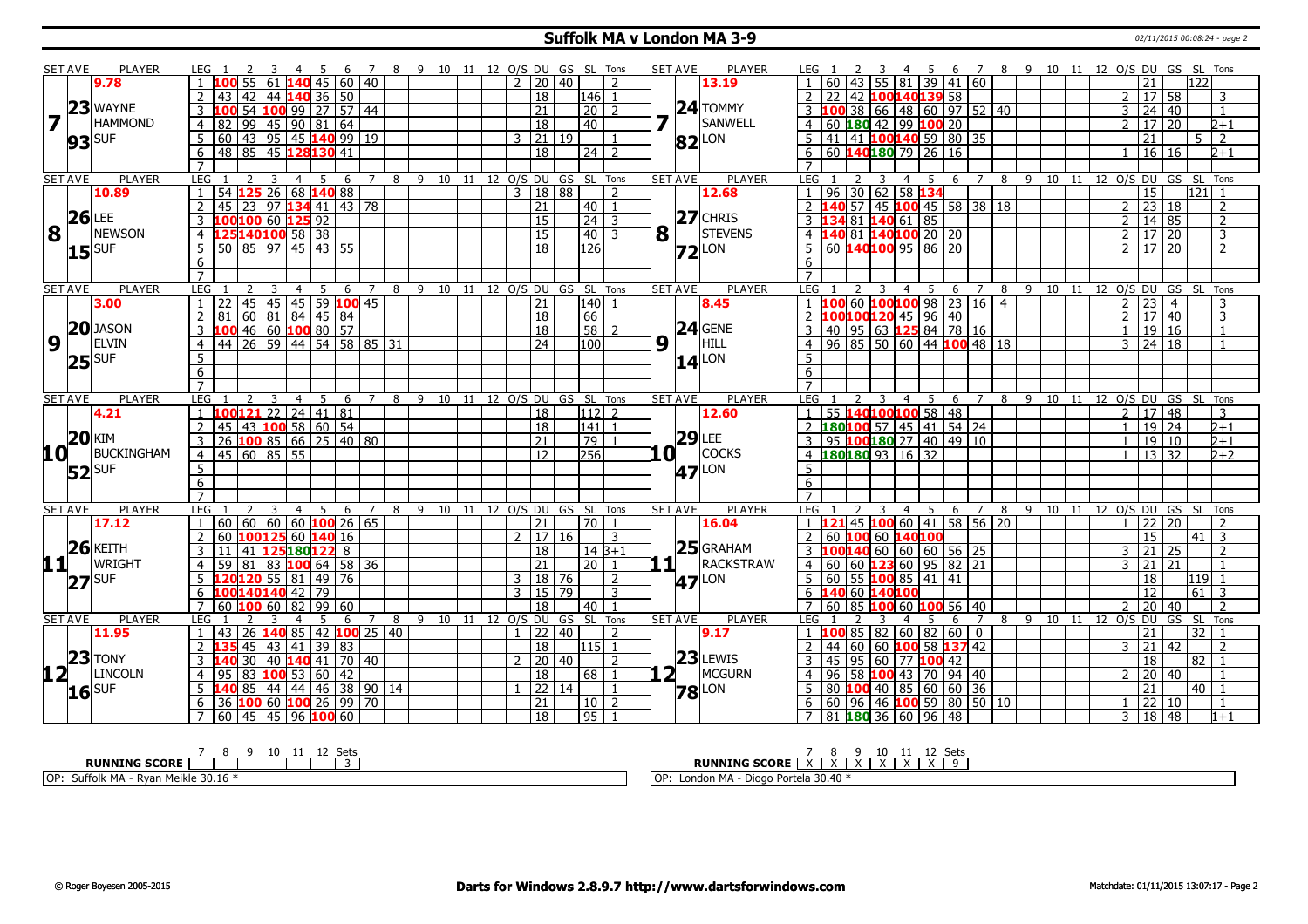## **Suffolk MA v London MA 3-9** 02/11/2015 00:08:24 - page 2

|                  | <b>SET AVE</b>      | <b>PLAYER</b>  | LEG 1                                                                                                                     | 3 4 5 6 7 8 9 10 11 12 O/S DU GS SL Tons  |          |     |                                  |                              |  |               |                     |            |                                  |                | <b>SET AVE</b> | <b>PLAYER</b>       | LEG 1                          |                                         |                                  |   | 3 4 5 6 7 8 9 10 11 12 O/S DU GS SL Tons |  |                |                                    |                              |                         |
|------------------|---------------------|----------------|---------------------------------------------------------------------------------------------------------------------------|-------------------------------------------|----------|-----|----------------------------------|------------------------------|--|---------------|---------------------|------------|----------------------------------|----------------|----------------|---------------------|--------------------------------|-----------------------------------------|----------------------------------|---|------------------------------------------|--|----------------|------------------------------------|------------------------------|-------------------------|
|                  |                     | 9.78           | $\overline{1}$                                                                                                            | $55 61 $ 140 45 60 40                     |          |     |                                  |                              |  |               | $2 \mid 20 \mid 40$ |            | $\overline{z}$                   |                |                | 13.19               | <b>60</b>                      | 43                                      | 55 81 39 41 60                   |   |                                          |  |                | 21                                 | 122                          |                         |
|                  |                     |                | 43   42   44   <mark>140</mark> 36   50<br>$\overline{2}$                                                                 |                                           |          |     |                                  |                              |  |               | 18                  |            | 146 l1                           |                |                |                     | 2                              | 42 100140139 58                         |                                  |   |                                          |  |                | $2 \mid 17 \mid 58$                |                              | 3                       |
|                  |                     | $23$ WAYNE     | <b>100</b>                                                                                                                | 54 100 99 27 57 44                        |          |     |                                  |                              |  |               | $\overline{21}$     |            | $\boxed{20}$ 2                   |                |                | $24$ TOMMY          |                                |                                         |                                  |   | 38 66 48 60 97 52 40                     |  |                | 3 24 40                            |                              | $\mathbf{1}$            |
| 7                |                     | <b>HAMMOND</b> | 82 99 45 90 81 64<br>4                                                                                                    |                                           |          |     |                                  |                              |  |               | $\overline{18}$     |            | 40                               |                |                | SANWELL             | $\overline{4}$<br>60           | $180$ 42 99 100 20                      |                                  |   |                                          |  | $\mathcal{P}$  | $\overline{20}$<br>17 <sup>1</sup> |                              | $2 + 1$                 |
|                  | $93$ SUF            |                | 60   43   95   45 <b>140</b> 99   19<br>5                                                                                 |                                           |          |     |                                  |                              |  | 3             | 21                  | 19         |                                  |                |                | 82 <sup>LON</sup>   | 41 I<br>5                      | 41 <b>100140</b> 59 80 35               |                                  |   |                                          |  |                | 21                                 | $5 \mid 2$                   |                         |
|                  |                     |                | 6 48 85 45 128 130 41                                                                                                     |                                           |          |     |                                  |                              |  |               | $\overline{18}$     |            | $\overline{24}$   $\overline{2}$ |                |                |                     | 6                              | 60 $140180$ 79 26 16                    |                                  |   |                                          |  |                | 16 16                              |                              | $2+1$                   |
|                  |                     |                | $\overline{7}$                                                                                                            |                                           |          |     |                                  |                              |  |               |                     |            |                                  |                |                |                     | $\overline{7}$                 |                                         |                                  |   |                                          |  |                |                                    |                              |                         |
|                  | <b>SET AVE</b>      | <b>PLAYER</b>  | LEG                                                                                                                       | $\overline{4}$                            | -5<br>6  |     | 8                                | 9 10 11 12 O/S DU GS SL Tons |  |               |                     |            |                                  |                | <b>SET AVE</b> | <b>PLAYER</b>       | LEG                            |                                         | 4<br>-5                          | 6 | 8                                        |  |                |                                    | 9 10 11 12 O/S DU GS SL Tons |                         |
|                  |                     | 10.89          | 54 125 26 68 140 88<br>$\overline{1}$                                                                                     |                                           |          |     |                                  |                              |  |               | 3   18   88         |            | $\overline{2}$                   |                |                | 12.68               | 96                             | 30 62 58 134                            |                                  |   |                                          |  |                | 15                                 | 121                          |                         |
|                  |                     |                | $\overline{2}$<br>45 23 97 134 41 43 78                                                                                   |                                           |          |     |                                  |                              |  |               | $\overline{21}$     |            | $40$   1                         |                |                |                     |                                |                                         |                                  |   | $57$ 45 100 45 58 38 18                  |  |                | $2 \mid 23 \mid 18$                |                              | $\overline{2}$          |
|                  | $26$ LEE            |                | 3 100100 60 125 92                                                                                                        |                                           |          |     |                                  |                              |  |               | <sup>15</sup>       |            | $24 \mid 3$                      |                |                | $27$ CHRIS          | $\mathbf{3}$                   | 134811406185                            |                                  |   |                                          |  | 2 <sup>1</sup> | 14   85                            |                              | $\overline{2}$          |
| 8                |                     | <b>NEWSON</b>  | 4 125 140 100 58 38                                                                                                       |                                           |          |     |                                  |                              |  |               | 15                  |            | $40$   3                         | $8\sqrt{1}$    |                | STEVENS             | 4 140 81 140 100 20 20         |                                         |                                  |   |                                          |  |                | 2 17 20                            |                              | $\overline{\mathbf{3}}$ |
|                  | $15$ <sup>SUF</sup> |                | $50$ 85 97 45 43 55<br>5 <sup>1</sup>                                                                                     |                                           |          |     |                                  |                              |  |               | $\overline{18}$     |            | 126                              |                |                | $72$ LON            | 5                              | $60$ 140 100 95 86 20                   |                                  |   |                                          |  |                | 2   17   20                        |                              | $\overline{2}$          |
|                  |                     |                | 6                                                                                                                         |                                           |          |     |                                  |                              |  |               |                     |            |                                  |                |                |                     | 6                              |                                         |                                  |   |                                          |  |                |                                    |                              |                         |
|                  |                     |                | $\overline{7}$                                                                                                            |                                           |          |     |                                  |                              |  |               |                     |            |                                  |                |                |                     | $\overline{7}$                 |                                         |                                  |   |                                          |  |                |                                    |                              |                         |
|                  | <b>SET AVE</b>      | <b>PLAYER</b>  | <b>LEG</b><br>2                                                                                                           | 3<br>4                                    | 5<br>6   | 7   | 8 9 10 11 12 O/S DU GS SL Tons   |                              |  |               |                     |            |                                  |                | <b>SET AVE</b> | PLAYER              | LEG                            |                                         | - 5<br>$\overline{4}$            | 6 | 7<br>8                                   |  |                |                                    | 9 10 11 12 O/S DU GS SL Tons |                         |
|                  |                     | 3.00           | $1 \mid 22 \mid 45 \mid 45 \mid 45 \mid 59$ 100 45                                                                        |                                           |          |     |                                  |                              |  |               | $\overline{21}$     |            | 140 1                            |                |                | 8.45                |                                | $60$ 100 100 98 23 16 4                 |                                  |   |                                          |  | 2 23           | $\overline{4}$                     |                              | 3                       |
|                  |                     |                | $\overline{2}$<br>  81   60   81   84   45   84                                                                           |                                           |          |     |                                  |                              |  |               | 18                  |            | 66                               |                |                |                     | 2                              | 100 100 120 45 96 40                    |                                  |   |                                          |  |                | $2 \mid 17 \mid 40$                |                              | $\overline{3}$          |
|                  |                     | $20$ JASON     | 3 100 46 60 100 80 57                                                                                                     |                                           |          |     |                                  |                              |  |               | $\overline{18}$     |            | $58$   2                         |                |                | $24$ GENE           | 3<br>40 <sup>1</sup>           | 95   63   <mark>125</mark> 84   78   16 |                                  |   |                                          |  | $\mathbf{1}$   | 19 16                              |                              | 1                       |
| $\boldsymbol{9}$ |                     | <b>ELVIN</b>   | $\boxed{44}$ $\boxed{26}$ $\boxed{59}$ $\boxed{44}$ $\boxed{54}$ $\boxed{58}$ $\boxed{85}$ $\boxed{31}$<br>$\overline{4}$ |                                           |          |     |                                  |                              |  |               | $\overline{24}$     |            | 100                              | 9              | $\mathbf{L}$   | HILL                | $\overline{4}$                 |                                         |                                  |   | $96 \ 85 \ 50 \ 60 \ 44 \ 100 \ 48 \ 18$ |  |                | 3   24   18                        |                              | $\mathbf{1}$            |
|                  | $ 25 $ SUF          |                | 5                                                                                                                         |                                           |          |     |                                  |                              |  |               |                     |            |                                  |                |                | $14$ <sup>LON</sup> | $\overline{5}$                 |                                         |                                  |   |                                          |  |                |                                    |                              |                         |
|                  |                     |                | 6                                                                                                                         |                                           |          |     |                                  |                              |  |               |                     |            |                                  |                |                |                     | 6                              |                                         |                                  |   |                                          |  |                |                                    |                              |                         |
|                  |                     |                | $\overline{7}$                                                                                                            |                                           |          |     |                                  |                              |  |               |                     |            |                                  |                |                |                     | $\overline{7}$                 |                                         |                                  |   |                                          |  |                |                                    |                              |                         |
|                  | <b>SET AVE</b>      | <b>PLAYER</b>  | LEG<br>$1 \overline{100} 121$ 22 24 41 81                                                                                 | $\overline{\mathbf{3}}$<br>$\overline{4}$ | 5 6      |     | 7 8 9 10 11 12 0/S DU GS SL Tons |                              |  |               | $\overline{18}$     |            | $112$ 2                          |                | <b>SET AVE</b> | <b>PLAYER</b>       | LEG <sub>1</sub>               | 3<br>55 140 100 100 58 48               | $\overline{5}$<br>$\overline{4}$ | 6 | 7 8 9 10 11 12 0/S DU GS SL Tons         |  |                | $2 \mid 17 \mid 48$                |                              |                         |
|                  |                     | 4.21           | 2   45   43   100   58   60   54                                                                                          |                                           |          |     |                                  |                              |  |               | 18                  |            | $\boxed{141}$ 1                  |                |                | 12.60               | $\overline{2}$                 | $180100$ 57   45   41   54   24         |                                  |   |                                          |  | $\mathbf{1}$   | 19 24                              |                              | 3<br>$2+1$              |
|                  | $ 20 $ KIM          |                | $3 \mid 26$ 100 85 66 25 40 80                                                                                            |                                           |          |     |                                  |                              |  |               | 21                  |            | 79                               |                | $29$ LEE       |                     | 3                              | 95 <b>100 180</b> 27   40   49   10     |                                  |   |                                          |  | $\mathbf{1}$   | 19 10                              |                              | $2 + 1$                 |
| <b>10</b>        |                     | BUCKINGHAM     | 4   45   60   85   55                                                                                                     |                                           |          |     |                                  |                              |  |               | 12                  |            | 256                              | $\mathbf{a}$   |                | <b>COCKS</b>        | $\overline{4}$                 | $180180$ 93   16   32                   |                                  |   |                                          |  |                | 13 32                              |                              | $2+2$                   |
|                  |                     |                | 5                                                                                                                         |                                           |          |     |                                  |                              |  |               |                     |            |                                  |                |                |                     | 5                              |                                         |                                  |   |                                          |  |                |                                    |                              |                         |
|                  | $52$ SUF            |                | $6\overline{6}$                                                                                                           |                                           |          |     |                                  |                              |  |               |                     |            |                                  |                |                | <b>47</b> LON       | $6\overline{6}$                |                                         |                                  |   |                                          |  |                |                                    |                              |                         |
|                  |                     |                | $\overline{7}$                                                                                                            |                                           |          |     |                                  |                              |  |               |                     |            |                                  |                |                |                     | $\overline{7}$                 |                                         |                                  |   |                                          |  |                |                                    |                              |                         |
|                  | <b>SET AVE</b>      | <b>PLAYER</b>  | <b>LEG</b>                                                                                                                | $\overline{3}$<br>$\overline{4}$          | 5<br>6 7 |     | 8 9 10 11 12 0/S DU GS SL Tons   |                              |  |               |                     |            |                                  |                | <b>SET AVE</b> | <b>PLAYER</b>       | LEG                            | 3                                       | $\overline{4}$<br>5 <sup>5</sup> | 6 | 8<br>$\overline{7}$                      |  |                |                                    | 9 10 11 12 0/S DU GS SL Tons |                         |
|                  |                     | 17.12          | 60   60   60   60 <mark>100</mark> 26   65<br>$\overline{1}$                                                              |                                           |          |     |                                  |                              |  |               | $\overline{21}$     |            | $70$ 1                           |                |                | 16.04               |                                |                                         |                                  |   | 121 45 100 60 41 58 56 20                |  |                | 22 20                              |                              |                         |
|                  |                     |                | 2<br>  60   100 125   60   140   16                                                                                       |                                           |          |     |                                  |                              |  | $\mathcal{P}$ | 1716                |            | -3                               |                |                |                     | $\overline{2}$                 | 60 100 60 140100                        |                                  |   |                                          |  |                | 15                                 | $41 \mid 3$                  |                         |
|                  |                     | $26$ KEITH     | $11$   41 <b>125180122</b> 8<br>$\overline{3}$                                                                            |                                           |          |     |                                  |                              |  |               | $\overline{18}$     |            | $14B+1$                          |                |                | $25$ GRAHAM         | 3  100 140  60  60  60  56  25 |                                         |                                  |   |                                          |  | 3 21           | 25                                 |                              | $\overline{2}$          |
| 11+              |                     | <b>WRIGHT</b>  | 59<br>$\overline{4}$                                                                                                      | 81   83   100 64   58   36                |          |     |                                  |                              |  |               | $\overline{21}$     |            | $\overline{20 1}$                | 10             |                | RACKSTRAW           | $\overline{4}$<br>60           | $60$ 123 60 95 82 21                    |                                  |   |                                          |  | $3 \mid 21$    | 21                                 |                              |                         |
|                  | $ 27 $ SUF          |                | 5 120120 55 81 49 76                                                                                                      |                                           |          |     |                                  |                              |  |               | 3   18   76         |            | $\mathcal{P}$                    |                |                | 47 LON              | $5 \mid 60 \mid$               | 55   100 85   41   41                   |                                  |   |                                          |  |                | 18                                 | 119                          | -1                      |
|                  |                     |                | 6 100140140 42 79                                                                                                         |                                           |          |     |                                  |                              |  |               | 3   15   79         |            | $\mathbf{3}$                     |                |                |                     | 6 140 60 140 100               |                                         |                                  |   |                                          |  |                | 12                                 | $61 \mid 3$                  |                         |
|                  |                     |                | 7 60 <b>100</b> 60 82 99 60                                                                                               |                                           |          |     |                                  |                              |  |               | $\overline{18}$     |            | $40$   1                         |                |                |                     | 7 60                           | 85   100 60   100 56   40               |                                  |   |                                          |  | $\overline{2}$ | $\overline{20}$<br>40              |                              | $\overline{2}$          |
|                  | <b>SET AVE</b>      | <b>PLAYER</b>  | <b>LEG</b>                                                                                                                |                                           | 5<br>6   | 7 8 |                                  | 9 10 11 12 O/S DU            |  |               |                     | GS SL Tons |                                  |                | <b>SET AVE</b> | <b>PLAYER</b>       | LEG                            |                                         | 5                                | 6 | $7^{\circ}$<br>8                         |  |                |                                    | 9 10 11 12 O/S DU GS SL Tons |                         |
|                  |                     | 11.95          | $1 \mid 43 \mid 26$ <b>140</b> 85 42 <b>100</b> 25 40                                                                     |                                           |          |     |                                  |                              |  |               | $1$   22   40       |            | $\overline{2}$                   |                |                | 9.17                | $\overline{1}$                 | 10085826082600                          |                                  |   |                                          |  |                | 21                                 | 32 1                         |                         |
|                  |                     |                | $2\,135$                                                                                                                  | $-45$   43   41   39   83                 |          |     |                                  |                              |  |               | 18                  |            | $115$ 1                          |                |                |                     | $\overline{2}$<br>44           | 60   60   100   58   137   42           |                                  |   |                                          |  |                | $3 \mid 21 \mid 42$                |                              | $\overline{2}$          |
|                  |                     | $ 23 $ TONY    | $3 \, 140$                                                                                                                | 30   40 $\sqrt{140}$ 41   70   40         |          |     |                                  |                              |  | $\mathcal{D}$ | 20 40               |            | $\overline{2}$                   |                |                | $23$ LEWIS          | $\overline{3}$<br>45           | 95   60   77 <b>100</b> 42              |                                  |   |                                          |  |                | 18                                 | $82$   1                     |                         |
| 12 L             |                     | <b>LINCOLN</b> | 4   95   83   100   53   60   42                                                                                          |                                           |          |     |                                  |                              |  |               | 18                  |            | 68   1                           | 2 <sub>1</sub> |                | MCGURN              | 96<br>$\overline{4}$           | 58 100 43 70 94 40                      |                                  |   |                                          |  | $\mathcal{P}$  | 20 40                              |                              | -1                      |
|                  | $16$ SUF            |                | $5 \vert 140 \vert 85 \vert 44 \vert 44 \vert 46 \vert 38 \vert 90 \vert 14$                                              |                                           |          |     |                                  |                              |  |               | 22 14               |            | $\vert$ 1                        |                |                | <b>78</b> LON       |                                | $80$ 100 40 85 60 60 36                 |                                  |   |                                          |  |                | $\overline{21}$                    | $40$   1                     |                         |
|                  |                     |                | 6 36 100 60 100 26 99 70                                                                                                  |                                           |          |     |                                  |                              |  |               | $\overline{21}$     |            | $10$   2                         |                |                |                     | 60<br>6                        |                                         |                                  |   | 96 46 100 59 80 50 10                    |  | $\mathbf{1}$   | $\overline{22}$<br>l 10            |                              | $\mathbf{1}$            |
|                  |                     |                | 7 60 45 45 96 100 60                                                                                                      |                                           |          |     |                                  |                              |  |               | 18                  |            | 95 1                             |                |                |                     | $\overline{7}$                 | 81   <b>180</b>   36   60   96   48     |                                  |   |                                          |  |                | 3   18   48                        |                              | $1 + 1$                 |
|                  |                     |                |                                                                                                                           |                                           |          |     |                                  |                              |  |               |                     |            |                                  |                |                |                     |                                |                                         |                                  |   |                                          |  |                |                                    |                              |                         |

| C۵t<br>ーー                                                   | ັບປະ                                                 |
|-------------------------------------------------------------|------------------------------------------------------|
| <b>RUNNING SCORE</b>                                        | <b>RUNNING SCORE</b><br><sup>n</sup>                 |
| 1 Meikle 30.16<br>l OP<br><b></b><br>· Rvar<br>ггонк<br>ľЧA | OP:<br>Diogo Portela 30.40 *<br><b>BAA</b><br>London |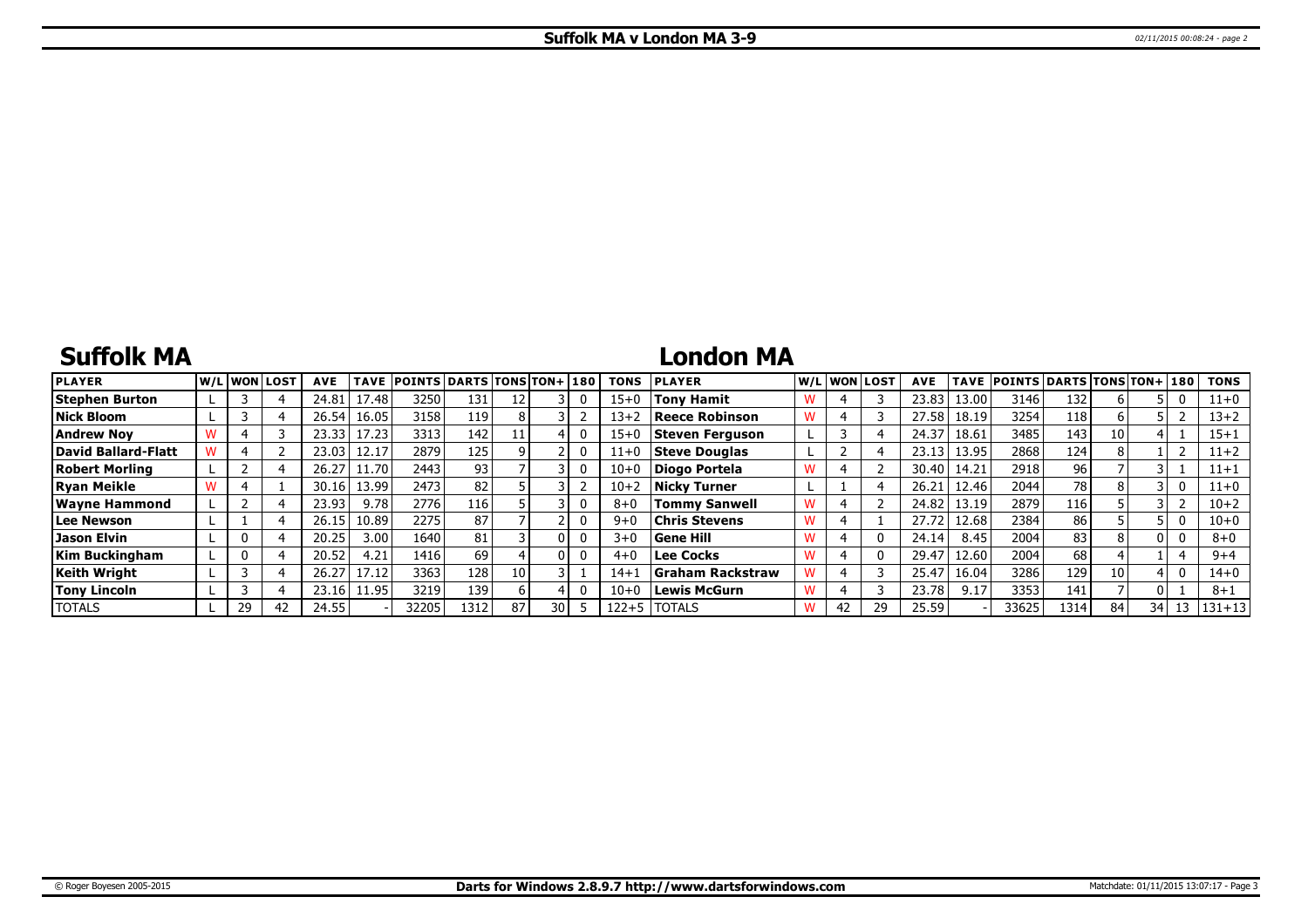# **Suffolk MA**

# **London MA**

| <b>PLAYER</b>         |    | W/Liwonilost! | <b>AVE</b> | <b>TAVE</b> | <b>POINTS DARTS TONS TON+1180</b> |                 |    |      |              | <b>TONS</b> | <b>PLAYER</b>           |   |    | W/L WON LOST | <b>AVE</b> | TAVE  | POINTS DARTS TONS TON+ 180 |                  |    |    |    | <b>TONS</b> |
|-----------------------|----|---------------|------------|-------------|-----------------------------------|-----------------|----|------|--------------|-------------|-------------------------|---|----|--------------|------------|-------|----------------------------|------------------|----|----|----|-------------|
| <b>Stephen Burton</b> |    |               | 24.81      | 17.48       | 3250                              | 131             |    |      |              | $15 + 0$    | Tony Hamit              |   |    |              | 23.83      | 13.00 | 3146                       | 132 <sub>1</sub> |    |    | 0  | $11+0$      |
| Nick Bloom            |    |               | 26.54      | 16.05       | 3158                              | 119             |    |      |              | $13 + 2$    | Reece Robinson          | W |    |              | 27.58      | 18.19 | 3254                       | 118              |    |    |    | 13+2        |
| Andrew Nov            |    |               | 23.33      | 17.23       | 3313                              | 142             |    |      |              | $15 + 0$    | Steven Ferguson         |   |    |              | 24.37      | 18.61 | 3485                       | 143              | 10 |    |    | $15 + 1$    |
| David Ballard-Flatt   |    |               | 23.03      | 12.17       | 2879                              | 125             |    |      |              | $11+0$      | Steve Douglas           |   |    |              | 23.13      | 13.95 | 2868                       | 124              |    |    |    | $11+2$      |
| Robert Morling        |    |               | 26.27      | 11.70       | 2443                              | 93 <sub>1</sub> |    |      | 0            | $10 + 0$    | Diogo Portela           |   |    |              | 30.40      | 14.21 | 2918                       | 96               |    |    |    | 11+1        |
| <b>Ryan Meikle</b>    |    |               | 30.16      | 13.99       | 2473                              | 82              |    |      |              | $10 + 2$    | <b>Nicky Turner</b>     |   |    |              | 26.21      | 12.46 | 2044                       | 78 l             |    |    |    | 11+0        |
| <b>Wayne Hammond</b>  |    |               | 23.93      | 9.78        | 2776                              | 116             |    |      |              | $8 + 0$     | <b>Tommy Sanwell</b>    |   |    |              | 24.82      | 13.19 | 2879                       | l 16             |    |    |    | $10 + 2$    |
| Lee Newson            |    |               | 26.15      | 10.89       | 2275                              | 87              |    |      |              | $9 + 0$     | Chris Stevens           | w |    |              | 27.72      | 12.68 | 2384                       | 86               |    |    | 0  | $10 + 0$    |
| Jason Elvin           |    |               | 20.25      | 3.001       | 1640                              | 81              |    |      | 0            | $3 + 0$     | <b>Sene Hill</b>        |   |    |              | 24.14      | 8.45  | 2004                       | 83               |    | 01 |    | $8 + 0$     |
| Kim Buckingham        |    |               | 20.52      | 4.21        | 1416                              | 69              |    |      | $\mathbf{0}$ | $4 + 0$     | <b>Lee Cocks</b>        |   |    |              | 29.47      | 12.60 | 2004                       | 68               |    |    |    | $9 + 4$     |
| Keith Wriaht          |    |               | 26.27      | 17.12       | 3363                              | 128             | 10 |      |              | $14 + 1$    | <b>Graham Rackstraw</b> |   |    |              | 25.47      | 16.04 | 3286                       | 129              | 10 |    | 0  | $14 + 0$    |
| <b>Tony Lincoln</b>   |    |               | 23.16      | 11.95       | 3219                              | 139             |    |      |              | $10 + 0$    | <b>Lewis McGurn</b>     |   |    |              | 23.78      | 9.17  | 3353                       | 141              |    |    |    | $8 + 1$     |
| <b>TOTALS</b>         | 29 | 42            | 24.55      |             | 32205                             | 1312            | 87 | 30 I |              | 122+5       | <b>ITOTALS</b>          | W | 42 | 29           | 25.59      |       | 33625                      | 1314             | 84 | 34 | 13 | $ 131+13 $  |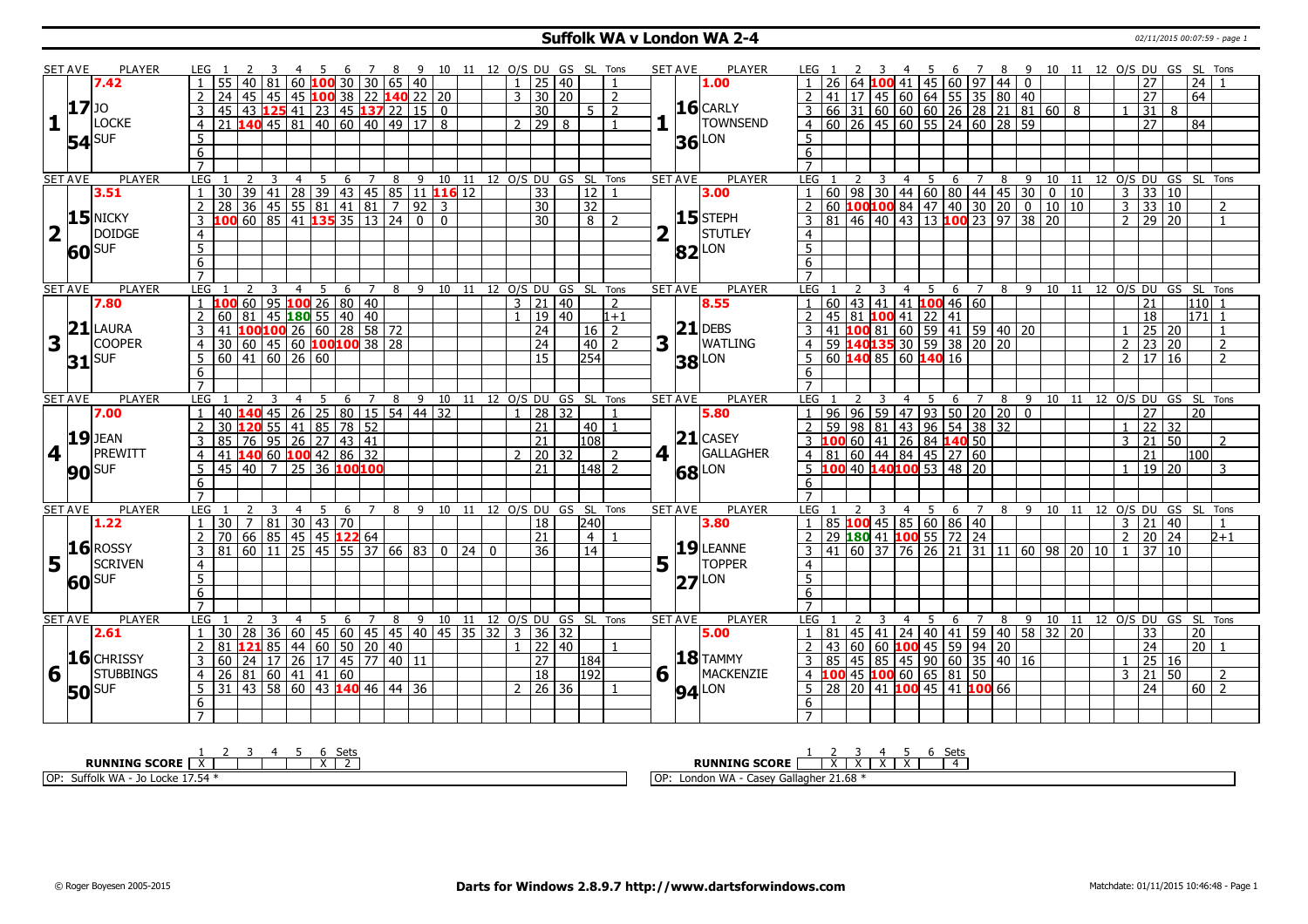## **Suffolk WA v London WA 2-4** 02/11/2015 00:07:59 - page 1

|                         | <b>SET AVE</b> | <b>PLAYER</b>       | LEG 1          |                                                           | <sup>2</sup> | 3 | $\overline{4}$ |                |                                                         |                     |   |                                            |                                    |                |                 |                     | 5 6 7 8 9 10 11 12 O/S DU GS SL Tons |                                |                         | <b>SET AVE</b>            | PLAYER              | LEG 1                             |                 | 2               | 3              | -4             |                                                                                                         |            |                |                 |                |                                                                                                          | 5 6 7 8 9 10 11 12 O/S DU GS SL Tons |                |                                            |   |                  |                |
|-------------------------|----------------|---------------------|----------------|-----------------------------------------------------------|--------------|---|----------------|----------------|---------------------------------------------------------|---------------------|---|--------------------------------------------|------------------------------------|----------------|-----------------|---------------------|--------------------------------------|--------------------------------|-------------------------|---------------------------|---------------------|-----------------------------------|-----------------|-----------------|----------------|----------------|---------------------------------------------------------------------------------------------------------|------------|----------------|-----------------|----------------|----------------------------------------------------------------------------------------------------------|--------------------------------------|----------------|--------------------------------------------|---|------------------|----------------|
|                         |                | 7.42                |                |                                                           |              |   |                |                | $\vert$ 40 $\vert$ 81 $\vert$ 60 <b>100</b> 30 30 65 40 |                     |   |                                            |                                    | $\mathbf{1}$   | 25 40           |                     |                                      |                                |                         |                           | 1.00                |                                   | 26              | 64              |                | 100 41         |                                                                                                         | 45 60 97   |                | 44              | $\mathbf{0}$   |                                                                                                          |                                      |                | 27                                         |   | 24               |                |
|                         |                |                     |                | 24                                                        |              |   |                |                |                                                         |                     |   | 45   45   45   100 38   22   140   22   20 |                                    | $\overline{3}$ | 30 20           |                     |                                      | 2                              |                         |                           |                     | $\overline{2}$                    | 41              | 17 <sup>1</sup> |                |                | $145$ 60 64 55 35 80 40                                                                                 |            |                |                 |                |                                                                                                          |                                      |                | $\overline{27}$                            |   | 64               |                |
|                         | 17             |                     | -3 I           | 45   43 <b>125</b> 41   23   45 <b>137</b> 22   15   0    |              |   |                |                |                                                         |                     |   |                                            |                                    |                | 30              |                     | $5 \mid 2$                           |                                |                         |                           | $16$ CARLY          |                                   |                 |                 |                |                |                                                                                                         |            |                |                 |                |                                                                                                          |                                      |                | 31                                         | 8 |                  |                |
| 1                       |                | LOCKE               |                | 4 21 140 45 81 40 60 40 49 17 8                           |              |   |                |                |                                                         |                     |   |                                            |                                    |                | 2   29   8      |                     |                                      |                                | 1                       |                           | <b>TOWNSEND</b>     |                                   |                 |                 |                |                |                                                                                                         |            |                |                 |                | 3 66 31 60 60 60 26 28 21 81 60 8<br>4 60 26 45 60 55 24 60 28 59                                        |                                      |                | 27                                         |   | 84               |                |
|                         |                |                     | 5              |                                                           |              |   |                |                |                                                         |                     |   |                                            |                                    |                |                 |                     |                                      |                                |                         |                           |                     | 5                                 |                 |                 |                |                |                                                                                                         |            |                |                 |                |                                                                                                          |                                      |                |                                            |   |                  |                |
|                         |                | $54$ <sup>SUF</sup> | 6              |                                                           |              |   |                |                |                                                         |                     |   |                                            |                                    |                |                 |                     |                                      |                                |                         |                           | $36$ LON            | 6                                 |                 |                 |                |                |                                                                                                         |            |                |                 |                |                                                                                                          |                                      |                |                                            |   |                  |                |
|                         |                |                     | $\overline{7}$ |                                                           |              |   |                |                |                                                         |                     |   |                                            |                                    |                |                 |                     |                                      |                                |                         |                           |                     | $\overline{7}$                    |                 |                 |                |                |                                                                                                         |            |                |                 |                |                                                                                                          |                                      |                |                                            |   |                  |                |
|                         |                | <b>PLAYER</b>       | <b>LEG</b>     |                                                           | 2            |   |                |                |                                                         |                     |   |                                            |                                    |                |                 |                     |                                      | 8 9 10 11 12 O/S DU GS SL Tons |                         | <b>SET AVE</b>            | <b>PLAYER</b>       | LEG                               |                 |                 |                |                |                                                                                                         |            |                |                 |                |                                                                                                          |                                      |                |                                            |   |                  |                |
|                         | <b>SET AVE</b> | 3.51                | $\mathbf{1}$   |                                                           |              | 3 | $\overline{4}$ | $\overline{5}$ | 6                                                       | $\overline{7}$      |   |                                            |                                    |                |                 |                     |                                      |                                |                         |                           | 3.00                | $\mathbf{1}$                      |                 |                 |                |                |                                                                                                         |            |                | $\sqrt{8}$      |                | 1 2 3 4 5 6 7 8 9 10 11<br> 60 98 30 44 60 80 44 45 30 0 10<br> 60 <b>100 100</b> 84 47 40 30 20 0 10 10 | 9 10 11 12 0/S DU GS SL Tons         |                | $3 \mid 33 \mid 10$                        |   |                  |                |
|                         |                |                     |                | 30 39 41 28 39 43 45 85 11 16 12                          |              |   |                |                |                                                         |                     |   |                                            |                                    |                | 33<br>30        |                     | <b>12</b><br>$\overline{32}$         |                                |                         |                           |                     |                                   |                 |                 |                |                |                                                                                                         |            |                |                 |                |                                                                                                          |                                      |                |                                            |   |                  |                |
|                         |                | $15$ NICKY          | $\overline{2}$ | 28<br>3 100 60 85 41 135 35 13 24 0 0                     |              |   |                |                |                                                         |                     |   | $36$ 45 55 81 41 81 7 92 3                 |                                    |                |                 |                     |                                      |                                |                         |                           | $15$ STEPH          | $\overline{2}$                    | $\overline{81}$ |                 |                |                |                                                                                                         |            |                |                 |                |                                                                                                          |                                      |                | $3 \mid 33 \mid 10$<br>$2 \mid 29 \mid 20$ |   |                  | 2              |
|                         |                |                     |                |                                                           |              |   |                |                |                                                         |                     |   |                                            |                                    |                | $\overline{30}$ |                     | $\infty$                             | $\mathcal{P}$                  |                         |                           |                     | $\overline{3}$                    |                 |                 |                |                | 46 40 43 13 100 23 97 38 20                                                                             |            |                |                 |                |                                                                                                          |                                      |                |                                            |   |                  |                |
| $\overline{\mathbf{2}}$ |                | <b>DOIDGE</b>       | $\overline{4}$ |                                                           |              |   |                |                |                                                         |                     |   |                                            |                                    |                |                 |                     |                                      |                                | $\overline{\mathbf{2}}$ | $\mathbf{L}$              | STUTLEY             | $\overline{4}$                    |                 |                 |                |                |                                                                                                         |            |                |                 |                |                                                                                                          |                                      |                |                                            |   |                  |                |
|                         |                | $ 60 $ SUF          | $\overline{5}$ |                                                           |              |   |                |                |                                                         |                     |   |                                            |                                    |                |                 |                     |                                      |                                |                         |                           | $82$ LON            | $\overline{5}$                    |                 |                 |                |                |                                                                                                         |            |                |                 |                |                                                                                                          |                                      |                |                                            |   |                  |                |
|                         |                |                     | 6              |                                                           |              |   |                |                |                                                         |                     |   |                                            |                                    |                |                 |                     |                                      |                                |                         |                           |                     | 6                                 |                 |                 |                |                |                                                                                                         |            |                |                 |                |                                                                                                          |                                      |                |                                            |   |                  |                |
|                         |                |                     | $\overline{7}$ |                                                           |              |   |                |                |                                                         |                     |   |                                            |                                    |                |                 |                     |                                      |                                |                         |                           |                     |                                   |                 |                 |                |                |                                                                                                         |            |                |                 |                |                                                                                                          |                                      |                |                                            |   |                  |                |
|                         | <b>SET AVE</b> | <b>PLAYER</b>       | LEG            |                                                           | 2            | 3 | $\overline{4}$ |                | $5\quad 6\quad 7$                                       |                     |   |                                            |                                    |                |                 |                     | 8 9 10 11 12 0/S DU GS SL Tons       |                                |                         | <b>SET AVE</b>            | PLAYER              | LEG                               |                 | 2               | $\overline{3}$ | $\overline{4}$ |                                                                                                         | $5\quad 6$ | $\overline{7}$ |                 |                |                                                                                                          | 8 9 10 11 12 0/S DU GS SL Tons       |                |                                            |   |                  |                |
|                         |                | 7.80                |                | $1 \overline{100}$ 60   95 $\overline{100}$ 26   80   40  |              |   |                |                |                                                         |                     |   |                                            |                                    | $\overline{3}$ | $\overline{21}$ | $ 40\rangle$        |                                      | $\overline{\phantom{0}}$       |                         |                           | 8.55                |                                   |                 |                 |                |                | $60$ 43 41 41 100 46 60                                                                                 |            |                |                 |                |                                                                                                          |                                      |                | $\overline{21}$                            |   | 110              |                |
|                         |                |                     |                | 60 81 45 180 55 40 40                                     |              |   |                |                |                                                         |                     |   |                                            |                                    |                |                 | 19 40               |                                      | $1 + 1$                        |                         |                           |                     | $\overline{2}$                    |                 |                 |                | 45 81 100 41   | 22 41                                                                                                   |            |                |                 |                |                                                                                                          |                                      |                | $\overline{18}$                            |   | $\overline{171}$ | $\overline{1}$ |
|                         |                | $21$ LAURA          | 3 <sup>1</sup> | 41                                                        |              |   |                |                | $100$ 100 26 60 28 58 72                                |                     |   |                                            |                                    |                | $\overline{24}$ |                     | $16 \mid 2$                          |                                |                         |                           | $21$ DEBS           | $\overline{3}$                    | 41              |                 |                |                | 10081605941594020                                                                                       |            |                |                 |                |                                                                                                          |                                      |                | 25 20                                      |   |                  |                |
| 3                       |                | <b>COOPER</b>       | 4 <sup>1</sup> | 30 60 45 60 100 100 38 28                                 |              |   |                |                |                                                         |                     |   |                                            |                                    |                | 24              |                     | 40                                   | $\overline{2}$                 | 3                       | $\mathbf{I}$              | <b>WATLING</b>      | $\overline{4}$                    |                 |                 |                |                | 59 140 135 30 59 38 20 20                                                                               |            |                |                 |                |                                                                                                          |                                      |                | $2 \mid 23 \mid 20$                        |   |                  | $\overline{2}$ |
|                         |                | $31$ SUF            |                | 5   60   41   60   26   60                                |              |   |                |                |                                                         |                     |   |                                            |                                    |                | 15              |                     | 254                                  |                                |                         |                           | <b>38</b> LON       | 5                                 |                 |                 |                |                | 60 140 85 60 140 16                                                                                     |            |                |                 |                |                                                                                                          |                                      |                | 2 17 16                                    |   |                  | $\overline{z}$ |
|                         |                |                     | 6              |                                                           |              |   |                |                |                                                         |                     |   |                                            |                                    |                |                 |                     |                                      |                                |                         |                           |                     | 6                                 |                 |                 |                |                |                                                                                                         |            |                |                 |                |                                                                                                          |                                      |                |                                            |   |                  |                |
|                         |                |                     | $\overline{7}$ |                                                           |              |   |                |                |                                                         |                     |   |                                            |                                    |                |                 |                     |                                      |                                |                         |                           |                     | $\overline{7}$                    |                 |                 |                |                |                                                                                                         |            |                |                 |                |                                                                                                          |                                      |                |                                            |   |                  |                |
|                         | <b>SET AVE</b> | <b>PLAYER</b>       | <b>LEG</b>     |                                                           |              |   | $\overline{4}$ | 5 <sub>5</sub> |                                                         | $6 \quad 7 \quad 8$ |   |                                            |                                    |                |                 |                     | 9 10 11 12 O/S DU GS SL Tons         |                                |                         | <b>SET AVE</b>            | <b>PLAYER</b>       | LEG                               |                 |                 | 3              | $\overline{4}$ | 5                                                                                                       | 6          | $\overline{7}$ | 8               |                |                                                                                                          | 9 10 11 12 0/S DU GS SL Tons         |                |                                            |   |                  |                |
|                         |                | 7.00                | $\overline{1}$ | 40 140 45 26 25 80 15 54 44 32                            |              |   |                |                |                                                         |                     |   |                                            |                                    | $\mathbf{1}$   |                 | 28 32               |                                      |                                |                         |                           | 5.80                | $\overline{1}$                    | 96              |                 |                |                | 96   59   47   93   50   20                                                                             |            |                | $\overline{20}$ | $\overline{0}$ |                                                                                                          |                                      |                | 27                                         |   | l 20             |                |
|                         |                |                     | 2 <sup>1</sup> | 30 120 55 41 85 78 52                                     |              |   |                |                |                                                         |                     |   |                                            |                                    |                | $\overline{21}$ |                     | $40$   1                             |                                |                         |                           |                     |                                   |                 |                 |                |                |                                                                                                         |            |                | 32              |                |                                                                                                          |                                      |                | 22 32                                      |   |                  |                |
|                         |                | <b>19</b> JEAN      | 3              | 85 76 95 26 27 43 41                                      |              |   |                |                |                                                         |                     |   |                                            |                                    |                | $\overline{21}$ |                     | 108                                  |                                |                         |                           | $21$ CASEY          |                                   |                 |                 |                |                | 2 59 98 81 43 96 54 38<br>3 <b>100</b> 60 41 26 84 <b>140</b> 50                                        |            |                |                 |                |                                                                                                          |                                      |                | $3 \mid 21 \mid 50$                        |   |                  | $\overline{z}$ |
| $\overline{\mathbf{4}}$ |                | PREWITT             | $\overline{4}$ | 41 140 60 100 42 86 32                                    |              |   |                |                |                                                         |                     |   |                                            |                                    |                |                 | 20 32               |                                      | $\mathcal{P}$                  | 4                       | $\mathbf{1}_{\mathbf{1}}$ | GALLAGHER           |                                   |                 |                 |                |                | 4 81 60 44 84 45 27                                                                                     |            | 60             |                 |                |                                                                                                          |                                      |                | $\overline{21}$                            |   | 100              |                |
|                         |                | $90^{\text{SUF}}$   |                | 5   45   40   7   25   36   100   100                     |              |   |                |                |                                                         |                     |   |                                            |                                    |                | 21              |                     | 148 2                                |                                |                         |                           | 68 LON              |                                   |                 |                 |                |                | 5 100 40 140 100 53 48 20                                                                               |            |                |                 |                |                                                                                                          |                                      |                | $1 \mid 19 \mid 20$                        |   |                  | 3              |
|                         |                |                     | 6              |                                                           |              |   |                |                |                                                         |                     |   |                                            |                                    |                |                 |                     |                                      |                                |                         |                           |                     | 6                                 |                 |                 |                |                |                                                                                                         |            |                |                 |                |                                                                                                          |                                      |                |                                            |   |                  |                |
|                         |                |                     | $\overline{7}$ |                                                           |              |   |                |                |                                                         |                     |   |                                            |                                    |                |                 |                     |                                      |                                |                         |                           |                     | $\overline{7}$                    |                 |                 |                |                |                                                                                                         |            |                |                 |                |                                                                                                          |                                      |                |                                            |   |                  |                |
|                         | <b>SET AVE</b> | <b>PLAYER</b>       | LEG            |                                                           |              | 3 | $\overline{4}$ | 5              | - 6                                                     | $\overline{7}$      |   |                                            |                                    |                |                 |                     | 8 9 10 11 12 0/S DU GS SL Tons       |                                |                         | <b>SET AVE</b>            | <b>PLAYER</b>       | LEG                               |                 |                 | 3              | $\overline{4}$ | $\overline{5}$                                                                                          | 6 7        |                |                 |                |                                                                                                          | 8 9 10 11 12 0/S DU GS SL Tons       |                |                                            |   |                  |                |
|                         |                | 1.22                |                | $1 \ 30 \ 7 \ 81 \ 30 \ 43 \ 70$                          |              |   |                |                |                                                         |                     |   |                                            |                                    |                | $\overline{18}$ |                     | 240                                  |                                |                         |                           | 3.80                |                                   |                 |                 |                |                | $\frac{1}{1}$ 85 100 45 85 60 86 40                                                                     |            |                |                 |                |                                                                                                          |                                      |                | $3 \mid 21 \mid 40$                        |   |                  | $\overline{1}$ |
|                         |                |                     |                | 70 66 85 45 45 122 64                                     |              |   |                |                |                                                         |                     |   |                                            |                                    |                | $\overline{21}$ |                     | $\overline{4}$                       |                                |                         |                           |                     | $\overline{2}$                    |                 |                 |                |                | 29 180 41 100 55 72 24                                                                                  |            |                |                 |                |                                                                                                          |                                      | 2 <sup>1</sup> | 20 24                                      |   |                  | 2+1            |
|                         |                | $16$ ROSSY          | $\overline{3}$ | $81   60   11   25   45   55   37   66   83   0   24   0$ |              |   |                |                |                                                         |                     |   |                                            |                                    |                | $\overline{36}$ |                     | $\overline{14}$                      |                                |                         |                           | $19$ LEANNE         | $\overline{3}$                    |                 | 41 60 37        |                | 76             |                                                                                                         |            |                |                 |                | 26 21 31 11 60 98 20 10                                                                                  |                                      |                | 37 10                                      |   |                  |                |
| 5                       |                | SCRIVEN             | $\overline{4}$ |                                                           |              |   |                |                |                                                         |                     |   |                                            |                                    |                |                 |                     |                                      |                                | 5                       |                           | <b>TOPPER</b>       | $\overline{4}$                    |                 |                 |                |                |                                                                                                         |            |                |                 |                |                                                                                                          |                                      |                |                                            |   |                  |                |
|                         |                | <b>60</b> SUF       | 5              |                                                           |              |   |                |                |                                                         |                     |   |                                            |                                    |                |                 |                     |                                      |                                |                         | 27                        | LON                 | 5                                 |                 |                 |                |                |                                                                                                         |            |                |                 |                |                                                                                                          |                                      |                |                                            |   |                  |                |
|                         |                |                     | 6              |                                                           |              |   |                |                |                                                         |                     |   |                                            |                                    |                |                 |                     |                                      |                                |                         |                           |                     | 6                                 |                 |                 |                |                |                                                                                                         |            |                |                 |                |                                                                                                          |                                      |                |                                            |   |                  |                |
|                         |                |                     | $\overline{7}$ |                                                           |              |   |                |                |                                                         |                     |   |                                            |                                    |                |                 |                     |                                      |                                |                         |                           |                     | $\overline{7}$                    |                 |                 |                |                |                                                                                                         |            |                |                 |                |                                                                                                          |                                      |                |                                            |   |                  |                |
|                         | <b>SET AVE</b> | <b>PLAYER</b>       | <b>LEG</b>     |                                                           |              |   | $\overline{4}$ | 5              | 6                                                       | 7                   | 8 |                                            |                                    |                |                 |                     | 9 10 11 12 O/S DU GS SL Tons         |                                |                         | <b>SET AVE</b>            | <b>PLAYER</b>       | LEG                               |                 | 2               | 3              | 4              | 5                                                                                                       | 6          | 7              | 8               | 9              | 10                                                                                                       | 11 12 O/S DU GS SL Tons              |                |                                            |   |                  |                |
|                         |                | 2.61                | $\overline{1}$ | 30                                                        |              |   |                |                |                                                         |                     |   |                                            | 28 36 60 45 60 45 45 46 46 35 32 3 |                | 36 32           |                     |                                      |                                |                         |                           | 5.00                | $\overline{1}$                    |                 |                 |                |                |                                                                                                         |            |                |                 |                | 40 58 32 20                                                                                              |                                      |                | 33                                         |   | $ 20\rangle$     |                |
|                         |                |                     |                | $2$   81 <b>121</b> 85   44   60   50   20   40           |              |   |                |                |                                                         |                     |   |                                            |                                    |                | $1$   22        | $\sqrt{40}$         |                                      |                                |                         |                           |                     | $\overline{2}$                    |                 |                 |                |                | 81   45   41   24   40   41   59   40<br>  43   60   60   <b>100</b>   45   59   94   20                |            |                |                 |                |                                                                                                          |                                      |                | $\overline{24}$                            |   | $\overline{20}$  |                |
|                         |                | $16$ CHRISSY        | $\overline{3}$ | 60 24 17 26 17 45 77 40 11                                |              |   |                |                |                                                         |                     |   |                                            |                                    |                | 27              |                     | 184                                  |                                |                         |                           | <b>18</b> TAMMY     | $\overline{3}$                    | 85              |                 |                |                | $\boxed{45}$ $\boxed{85}$ $\boxed{45}$ $\boxed{90}$ $\boxed{60}$ $\boxed{35}$ $\boxed{40}$ $\boxed{16}$ |            |                |                 |                |                                                                                                          |                                      |                | 25 16                                      |   |                  |                |
| 6                       | H.             | <b>STUBBINGS</b>    | 4 26           |                                                           |              |   |                |                | 81   60   41   41   60                                  |                     |   |                                            |                                    |                | 18              |                     | $\overline{1192}$                    |                                |                         | $6\vert$                  | MACKENZIE           |                                   |                 |                 |                |                | 4 100 45 100 60 65 81                                                                                   |            | 50             |                 |                |                                                                                                          |                                      |                | $3 \mid 21 \mid 50$                        |   |                  | $\overline{2}$ |
|                         |                |                     | 5 <sup>1</sup> | $31   43   58   60   43   140   46   44   36$             |              |   |                |                |                                                         |                     |   |                                            |                                    |                |                 | $26 \overline{)36}$ |                                      |                                |                         |                           |                     |                                   |                 |                 |                |                | 28 20 41 100 45 41 100 66                                                                               |            |                |                 |                |                                                                                                          |                                      |                | $\overline{24}$                            |   | $60$   2         |                |
|                         |                | <b>50</b> SUF       |                |                                                           |              |   |                |                |                                                         |                     |   |                                            |                                    | $\overline{2}$ |                 |                     |                                      |                                |                         |                           | $94$ <sup>LON</sup> | $\overline{5}$<br>$6\overline{6}$ |                 |                 |                |                |                                                                                                         |            |                |                 |                |                                                                                                          |                                      |                |                                            |   |                  |                |
|                         |                |                     | 6              |                                                           |              |   |                |                |                                                         |                     |   |                                            |                                    |                |                 |                     |                                      |                                |                         |                           |                     |                                   |                 |                 |                |                |                                                                                                         |            |                |                 |                |                                                                                                          |                                      |                |                                            |   |                  |                |
|                         |                |                     | $\overline{z}$ |                                                           |              |   |                |                |                                                         |                     |   |                                            |                                    |                |                 |                     |                                      |                                |                         |                           |                     | $\overline{7}$                    |                 |                 |                |                |                                                                                                         |            |                |                 |                |                                                                                                          |                                      |                |                                            |   |                  |                |

| ato                    | . .                                                                                             |
|------------------------|-------------------------------------------------------------------------------------------------|
| .                      |                                                                                                 |
| $\ddot{\phantom{1}}$   | $\lambda$                                                                                       |
| <b>RUNNING SCORE</b>   | i SCORI                                                                                         |
| .                      | <b>RUNNING</b>                                                                                  |
| IOP:<br><b>WA</b><br>. | 21.68<br><b>1818</b><br>$\cap$<br>. مصالحات المسا<br>Case<br>∵ Galladhc<br>i Ur<br>LUILUUII VVM |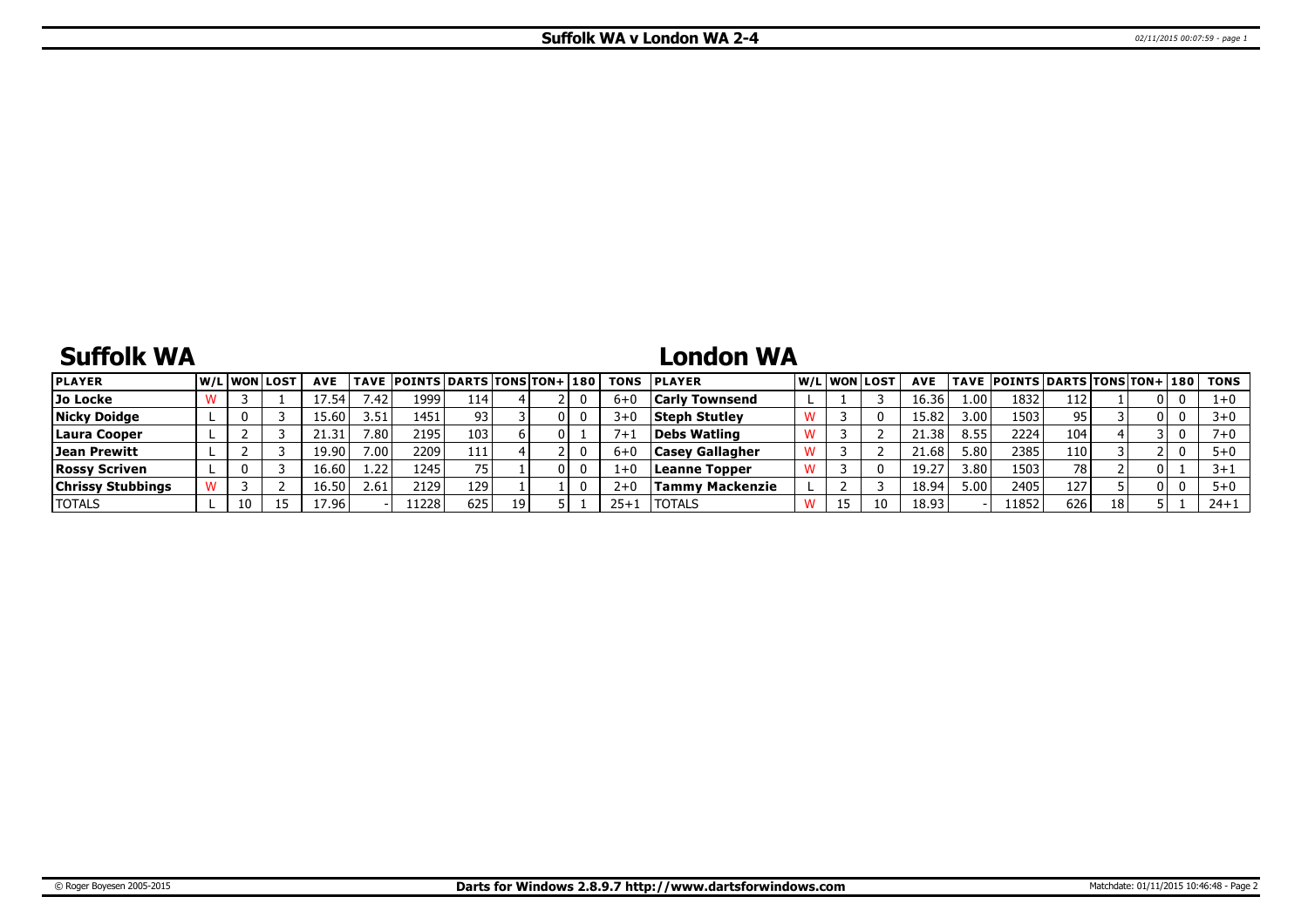# **Suffolk WA**

## **London WA**

| <b>PLAYER</b>            | <b>W/LIWONILOST</b> | <b>AVE</b> |                   | TAVE  POINTS   DARTS   TONS   TON+   180 |      |    |     | <b>TONS</b> | <b>IPLAYER</b>         |  | W/Liwonilost | <b>AVE</b> |                   | TAVE  POINTS   DARTS   TONS   TON+   180 |     |    |   |          | <b>TONS</b> |
|--------------------------|---------------------|------------|-------------------|------------------------------------------|------|----|-----|-------------|------------------------|--|--------------|------------|-------------------|------------------------------------------|-----|----|---|----------|-------------|
| Jo Locke                 |                     | 7.54.      | .42               | 1999'                                    | 114  |    |     | $6 + 0$     | Carlv Townsend         |  |              | 16.36      | 00۱.              | 1832                                     | 112 |    |   | 0        | 1+0         |
| <b>Nicky Doidge</b>      |                     | .5.60      | 3.51              | 1451                                     | 93   |    |     | $3+0$       | <b>Steph Stutley</b>   |  |              | 15.82      | 3.00 <sub>l</sub> | 1503                                     | 95. |    |   | 0        | $3+0$       |
| Laura Cooper             |                     | 21.31'     | 7.80 <sub>1</sub> | 2195                                     | 103  |    | 0 I | 7+          | Debs Watling           |  |              | 21.38      | 8.55              | 2224                                     | 104 |    |   | 0        | $7 + 0$     |
| Jean Prewitt             |                     | 19.90      | 7.001             | 2209                                     | 111  |    |     | 6+0         | <b>Casey Gallagher</b> |  |              | 21.68      | ៈ 80 I            | 2385                                     | 110 |    |   | $\Omega$ | $5 + 0$     |
| <b>Rossy Scriven</b>     |                     | 16.60      | 1.22              | 1245                                     |      |    |     | $1+0$       | Leanne Topper          |  |              | 19.27      | 3.801             | 1503                                     | 78  |    |   |          |             |
| <b>Chrissy Stubbings</b> |                     | 16.50      | 2.61              | 2129                                     | 129' |    |     | $2+0$       | Tammv Mackenzie        |  |              | 18.94      | $\cdot$ .00 l     | 2405                                     | 127 |    | 0 | $\Omega$ | $5 + 0$     |
| <b>TOTALS</b>            |                     | 17.96      |                   | 1228                                     | 625  | 19 |     | $25 + 1$    | <b>TOTALS</b>          |  | 10           | 18.93      |                   | 11852                                    | 626 | 18 |   |          | $24 + 1$    |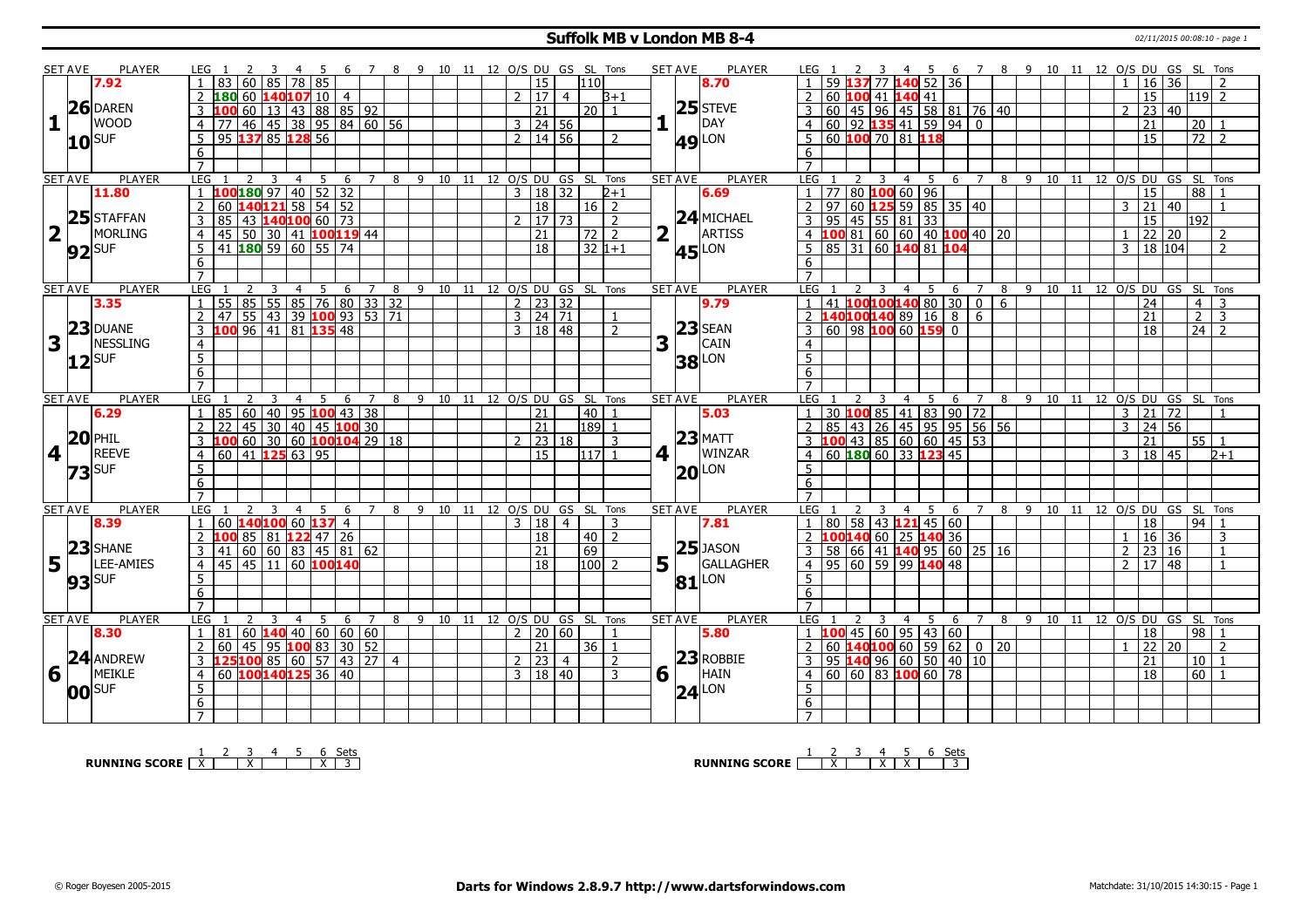#### **Suffolk MB v London MB 8-4** 02/11/2015 00:08:10 - page 1

|   | <b>SET AVE</b>       | <b>PLAYER</b>     | LEG 1                                                                          | 45<br>- 6                          | 7 8 9 10 11 12 O/S DU GS SL Tons |                              |              |                     |                |                  |                | <b>SET AVE</b>                          | <b>PLAYER</b>       | LEG 1                                                                                         |                | 45                                                  |                            |                                  |      |                |                     | 6 7 8 9 10 11 12 O/S DU GS SL Tons |                                 |  |
|---|----------------------|-------------------|--------------------------------------------------------------------------------|------------------------------------|----------------------------------|------------------------------|--------------|---------------------|----------------|------------------|----------------|-----------------------------------------|---------------------|-----------------------------------------------------------------------------------------------|----------------|-----------------------------------------------------|----------------------------|----------------------------------|------|----------------|---------------------|------------------------------------|---------------------------------|--|
|   |                      | 7.92              | 83<br>60 85<br>78 I                                                            | 85                                 |                                  |                              |              | 15                  |                | 110              |                |                                         | 8.70                | 59                                                                                            |                | 52                                                  | 36                         |                                  |      |                |                     | $16 \mid 36$                       |                                 |  |
|   |                      |                   | 180 60 140107 10 4                                                             |                                    |                                  |                              | $\mathbf{2}$ | 17 <sup>1</sup>     | $\overline{4}$ |                  | $B+1$          |                                         |                     | 2<br>60<br>100                                                                                | 41             | 140 41                                              |                            |                                  |      |                | 15                  |                                    | $1119$ 2                        |  |
|   |                      | $26$ DAREN        | 60<br>3<br>۱M                                                                  | 13   43   88   85   92             |                                  |                              |              | 21                  |                | 20 <sub>1</sub>  |                |                                         | $25$ STEVE          | 3                                                                                             |                |                                                     |                            |                                  |      | $\mathcal{L}$  |                     | 23 40                              |                                 |  |
| 1 |                      | lwood             | 46 45 38 95 84 60 56<br>$\overline{4}$<br>77                                   |                                    |                                  |                              |              | $3 \mid 24 \mid 56$ |                |                  | 1              |                                         | <b>IDAY</b>         | 60   45   96   45   58   81   76   40<br>  60   92   135 41   59   94   0  <br>$\overline{4}$ |                |                                                     |                            |                                  |      |                | 21                  |                                    | l 20 l                          |  |
|   |                      |                   | 95 137 85 128<br>5                                                             | 56                                 |                                  |                              |              | 2 14 56             |                |                  | $\mathcal{P}$  |                                         |                     | 60 <b>100</b> 70 81 118<br>-5                                                                 |                |                                                     |                            |                                  |      |                | 15                  |                                    | 72  <br>$\overline{2}$          |  |
|   |                      | $10^{\text{SUF}}$ | 6                                                                              |                                    |                                  |                              |              |                     |                |                  |                |                                         | <b>49 LON</b>       | 6                                                                                             |                |                                                     |                            |                                  |      |                |                     |                                    |                                 |  |
|   |                      |                   | $\overline{7}$                                                                 |                                    |                                  |                              |              |                     |                |                  |                |                                         |                     | $\overline{7}$                                                                                |                |                                                     |                            |                                  |      |                |                     |                                    |                                 |  |
|   | <b>SET AVE</b>       | <b>PLAYER</b>     | <b>LEG</b><br>$\overline{4}$<br>2<br>3                                         | -5<br>6                            | 7 8 9 10 11 12 O/S DU GS SL Tons |                              |              |                     |                |                  |                | <b>SET AVE</b>                          | PLAYER              | LEG 1<br>2                                                                                    | $\overline{3}$ | 5<br>$\overline{4}$                                 | 6 7                        |                                  |      |                |                     | 8 9 10 11 12 O/S DU GS SL Tons     |                                 |  |
|   |                      | 11.80             | 100 180 97 40 52 32<br>$\mathbf{1}$                                            |                                    |                                  |                              |              | 3   18   32         |                |                  | $2 + 1$        |                                         | 6.69                | $1 \overline{77}$                                                                             |                | 80 100 60 96                                        |                            |                                  |      |                | 15                  |                                    | 88 I                            |  |
|   |                      |                   | 140121 58 54 52<br>$\overline{2}$<br>60                                        |                                    |                                  |                              |              | $\overline{18}$     |                | $16\overline{2}$ |                |                                         |                     | $\overline{2}$<br>$\overline{97}$<br>$\overline{60}$                                          |                | $125$ 59 85 35 40                                   |                            |                                  |      |                | $3 \ 21 \ 40$       |                                    | $\mathbf{1}$                    |  |
|   |                      | $25$ STAFFAN      | $\overline{3}$<br>85<br>43 140100 60 73                                        |                                    |                                  |                              |              |                     | 17 73          |                  | $\overline{2}$ |                                         | $24$ MICHAEL        | $\overline{\mathbf{3}}$<br>95<br>45                                                           |                | 55   81   33                                        |                            |                                  |      |                | 15                  | 192                                |                                 |  |
|   | $2\sqrt{1}$          | MORLING           | 50   30   41 <b>100119</b> 44<br>$\overline{4}$<br>45                          |                                    |                                  |                              |              | $\overline{21}$     |                | $\overline{72}$  | $\overline{2}$ | $\overline{\mathbf{2}}$<br>$\mathbf{I}$ | ARTISS              | $100$ 81 60 60 40 100 40 20<br>$\overline{4}$                                                 |                |                                                     |                            |                                  |      |                |                     | 22 20                              | 2                               |  |
|   |                      |                   | 41 180 59 60 55 74                                                             |                                    |                                  |                              |              | $\overline{18}$     |                |                  |                |                                         |                     | 85 31 60 140 81 104                                                                           |                |                                                     |                            |                                  |      |                |                     | 3   18   104                       | $\mathcal{P}$                   |  |
|   |                      | $92$ SUF          | 5                                                                              |                                    |                                  |                              |              |                     |                | $32 1+1$         |                |                                         | <b>45</b> LON       | 5 <sup>5</sup>                                                                                |                |                                                     |                            |                                  |      |                |                     |                                    |                                 |  |
|   |                      |                   | 6                                                                              |                                    |                                  |                              |              |                     |                |                  |                |                                         |                     | 6                                                                                             |                |                                                     |                            |                                  |      |                |                     |                                    |                                 |  |
|   |                      |                   | $\overline{7}$                                                                 |                                    |                                  |                              |              |                     |                |                  |                |                                         |                     | $\overline{7}$                                                                                |                |                                                     |                            |                                  |      |                |                     |                                    |                                 |  |
|   | <b>SET AVE</b>       | <b>PLAYER</b>     | <b>LEG</b><br>4<br>55 85 55 85 76 80 33 32<br>$\mathbf{1}$                     | 5 <sup>1</sup><br>6<br>$7^{\circ}$ | 8                                | 9 10 11 12 0/S DU GS SL Tons |              |                     |                |                  |                | <b>SET AVE</b>                          | <b>PLAYER</b>       | LEG<br>  41   100 100 140 80   30  <br>$\mathbf{1}$                                           | 3              | 5<br>$\overline{4}$                                 | 6                          | $7^{\circ}$<br>8<br>$0$ 6        |      |                | 24                  | 9 10 11 12 0/S DU GS SL Tons       | $\overline{3}$                  |  |
|   |                      | 3.35              |                                                                                |                                    |                                  |                              |              | $2 \mid 23 \mid 32$ |                |                  |                |                                         | 9.79                |                                                                                               |                |                                                     |                            |                                  |      |                | $\overline{21}$     |                                    | 4                               |  |
|   |                      | $23$ DUANE        | 55   43   39   100 93   53   71<br>$\overline{2}$<br>47<br>100 96 41 81 135 48 |                                    |                                  |                              |              | $3 \mid 24 \mid 71$ |                |                  |                |                                         | $23$ SEAN           | 2 140100140 89<br>60 98 100 60 159                                                            |                | $\sqrt{16}$                                         | $\infty$<br>$\overline{0}$ | 6                                |      |                |                     |                                    | $2^{\circ}$<br>3<br>$\sqrt{24}$ |  |
|   | $\mathbf{1}$         |                   | $\overline{3}$                                                                 |                                    |                                  |                              |              | 3   18   48         |                |                  | $\mathcal{P}$  |                                         | <b>CAIN</b>         | $\overline{3}$                                                                                |                |                                                     |                            |                                  |      |                | 18                  |                                    |                                 |  |
| 3 |                      | NESSLING          | $\overline{4}$                                                                 |                                    |                                  |                              |              |                     |                |                  |                | 3                                       |                     | $\overline{4}$                                                                                |                |                                                     |                            |                                  |      |                |                     |                                    |                                 |  |
|   |                      | $ 12 $ SUF        | $\overline{5}$                                                                 |                                    |                                  |                              |              |                     |                |                  |                |                                         | <b>38</b> LON       | $\overline{5}$                                                                                |                |                                                     |                            |                                  |      |                |                     |                                    |                                 |  |
|   |                      |                   | $6\overline{6}$                                                                |                                    |                                  |                              |              |                     |                |                  |                |                                         |                     | 6                                                                                             |                |                                                     |                            |                                  |      |                |                     |                                    |                                 |  |
|   |                      |                   | $\overline{7}$                                                                 |                                    |                                  |                              |              |                     |                |                  |                |                                         |                     | $\overline{7}$                                                                                |                |                                                     |                            |                                  |      |                |                     |                                    |                                 |  |
|   | <b>SET AVE</b>       | <b>PLAYER</b>     | <b>LEG</b>                                                                     | 5<br>6<br>$\overline{7}$           |                                  | 8 9 10 11 12 O/S DU GS SL    |              |                     |                |                  | Tons           | <b>SET AVE</b>                          | <b>PLAYER</b>       | LEG                                                                                           |                | - 5<br>4                                            | 6                          | 7                                |      |                |                     | 8 9 10 11 12 0/S DU GS SL Tons     |                                 |  |
|   |                      | 6.29              | 60   40  <br>85                                                                | 95 100 43 38                       |                                  |                              |              | 21                  |                | 40               |                |                                         | 5.03                | $\overline{1}$                                                                                |                | 30 <b>100</b> 85   41   83   90                     |                            | 72                               |      |                | $3 \mid 21 \mid 72$ |                                    |                                 |  |
|   |                      | $20$ PHIL         | $45$ 30 40 45 100 30<br>$\overline{2}$<br>フフ                                   |                                    |                                  |                              |              | 21                  |                | 189              |                |                                         |                     | $\overline{2}$<br>85<br>  43                                                                  |                | 26 45 95 95 56 56                                   |                            |                                  |      | $\mathbf{3}$   |                     | 24 56                              |                                 |  |
|   |                      |                   | 60 30 60 100 104 29 18<br>3<br>LOO                                             |                                    |                                  |                              |              |                     | 23 18          |                  | 3              |                                         | $23$ MATT           | $100$ 43 85 60 60 45 53<br>$\mathbf{3}$                                                       |                |                                                     |                            |                                  |      |                | 21                  |                                    | 55 1                            |  |
|   | 4 1                  | <b>REEVE</b>      | 60 41 125 63 95<br>$\overline{4}$                                              |                                    |                                  |                              |              | 15                  |                | $1117$ 1         |                | 4 1                                     | WINZAR              | 4 60 180 60 33 123 45                                                                         |                |                                                     |                            |                                  |      |                | 3   18   45         |                                    | $2 + 1$                         |  |
|   |                      | $73$ SUF          | 5                                                                              |                                    |                                  |                              |              |                     |                |                  |                |                                         | $20$ LON            | -5                                                                                            |                |                                                     |                            |                                  |      |                |                     |                                    |                                 |  |
|   |                      |                   | $6\overline{}$                                                                 |                                    |                                  |                              |              |                     |                |                  |                |                                         |                     | $6\overline{6}$                                                                               |                |                                                     |                            |                                  |      |                |                     |                                    |                                 |  |
|   |                      |                   | $\overline{7}$                                                                 |                                    |                                  |                              |              |                     |                |                  |                |                                         |                     | $\overline{7}$                                                                                |                |                                                     |                            |                                  |      |                |                     |                                    |                                 |  |
|   | <b>SET AVE</b>       | <b>PLAYER</b>     | <b>LEG</b><br>2<br>$\overline{4}$<br>3                                         | 5<br>6<br>$7\overline{ }$          | 8                                | 9 10 11 12 O/S DU GS SL Tons |              |                     |                |                  |                | <b>SET AVE</b>                          | <b>PLAYER</b>       | <b>LEG</b><br>2                                                                               | 3              | 5<br>$\overline{4}$                                 | 6                          | $\overline{7}$<br>8 <sup>8</sup> |      |                |                     | 9 10 11 12 O/S DU GS SL Tons       |                                 |  |
|   |                      | 8.39              | 140100 60 137 4<br>60<br>$\mathbf{1}$                                          |                                    |                                  |                              |              | $3 \mid 18 \mid 4$  |                |                  | 3              |                                         | 7.81                | $1$ 80 58 43 121 45 60                                                                        |                |                                                     |                            |                                  |      |                | $\overline{18}$     |                                    | <u>  94  </u>                   |  |
|   |                      |                   | 85 81 122 47 26<br>$\mathcal{P}$<br>100                                        |                                    |                                  |                              |              | 18                  |                | $40$   2         |                |                                         |                     | $\overline{\phantom{0}}$<br>100140 60 25 140 36                                               |                |                                                     |                            |                                  |      |                |                     | $16 \mid 36$                       | 3                               |  |
|   |                      | $23$ SHANE        | 60   60   83   45   81   62<br>3<br>41                                         |                                    |                                  |                              |              | 21                  |                | 69               |                |                                         | $25$ JASON          | $\overline{3}$                                                                                |                | 58   66   41   <mark>140</mark>   95   60   25   16 |                            |                                  |      | $\overline{2}$ |                     | 23 16                              | $\mathbf{1}$                    |  |
|   | $5\vert\bar{1}\vert$ | LEE-AMIES         | 45 45 11 60 100140<br>$\overline{4}$                                           |                                    |                                  |                              |              | $\overline{18}$     |                | $100 \mid 2$     |                | 5 <sup>1</sup>                          | GALLAGHER           | $4$   95   60   59   99 <b>140</b> 48                                                         |                |                                                     |                            |                                  |      | $\mathcal{P}$  |                     | $\overline{17}$ 48                 | $\mathbf{1}$                    |  |
|   |                      | $93$ SUF          | 5                                                                              |                                    |                                  |                              |              |                     |                |                  |                |                                         | $81$ <sup>LON</sup> | 5                                                                                             |                |                                                     |                            |                                  |      |                |                     |                                    |                                 |  |
|   |                      |                   | 6                                                                              |                                    |                                  |                              |              |                     |                |                  |                |                                         |                     | 6                                                                                             |                |                                                     |                            |                                  |      |                |                     |                                    |                                 |  |
|   |                      |                   | $\overline{7}$                                                                 |                                    |                                  |                              |              |                     |                |                  |                |                                         |                     | $\overline{7}$                                                                                |                |                                                     |                            |                                  |      |                |                     |                                    |                                 |  |
|   | <b>SET AVE</b>       | <b>PLAYER</b>     | <b>LEG</b><br>4                                                                | -5<br>6<br>7                       | 8                                | 9 10 11 12 O/S DU GS SL Tons |              |                     |                |                  |                | <b>SET AVE</b>                          | <b>PLAYER</b>       | LEG                                                                                           | 3              | 5<br>$\overline{4}$                                 | 6                          | 8<br>7                           | 9 10 |                |                     | 11 12 0/S DU GS SL Tons            |                                 |  |
|   |                      | 8.30              | $60 \, 140 \, 40 \, 60 \, 60 \, 60$<br>$\mathbf{1}$<br>81                      |                                    |                                  |                              |              | 2   20   60         |                |                  |                |                                         | 5.80                | $1\,100$                                                                                      |                | 45 60 95 43 60                                      |                            |                                  |      |                | l 18                |                                    | l 98 l<br>$\overline{1}$        |  |
|   |                      |                   | 60<br>45<br>$\overline{2}$                                                     | 95 <mark>100</mark> 83   30   52   |                                  |                              |              | 21                  |                | 36 I             | -1             |                                         |                     | 2<br>60                                                                                       |                | 140100 60 59                                        | $\overline{62}$            | $0 \mid 20$                      |      |                |                     | $\frac{1}{22}$ $\frac{1}{20}$      | $\mathcal{L}$                   |  |
|   |                      | 24 ANDREW         | 125 100 85 60 57 43 27 4<br>$\mathbf{3}$                                       |                                    |                                  |                              |              | $2 \mid 23 \mid 4$  |                |                  | $\overline{2}$ |                                         | $23$ ROBBIE         | 95   <mark>140</mark> 96   60   50   40   10<br>$\overline{3}$                                |                |                                                     |                            |                                  |      |                | 21                  |                                    | $10$   1                        |  |
|   | $6\sqrt{ }$          | MEIKLE            | 60 100 140 125 36 40<br>$\overline{4}$                                         |                                    |                                  |                              |              | 3   18   40         |                |                  | 3              | $6\sqrt{ }$                             | HAIN                | $\overline{4}$                                                                                |                | 60 60 83 100 60 78                                  |                            |                                  |      |                | $\overline{18}$     |                                    | 60 1                            |  |
|   |                      | $ 00 $ SUF        | 5                                                                              |                                    |                                  |                              |              |                     |                |                  |                |                                         | $ 24 ^{LON}$        | 5                                                                                             |                |                                                     |                            |                                  |      |                |                     |                                    |                                 |  |
|   |                      |                   |                                                                                |                                    |                                  |                              |              |                     |                |                  |                |                                         |                     |                                                                                               |                |                                                     |                            |                                  |      |                |                     |                                    |                                 |  |
|   |                      |                   | 6                                                                              |                                    |                                  |                              |              |                     |                |                  |                |                                         |                     | 6                                                                                             |                |                                                     |                            |                                  |      |                |                     |                                    |                                 |  |

**RUNNING SCORE**  $\begin{array}{|c|c|c|c|c|}\n\hline\n\textbf{1} & \textbf{2} & \textbf{3} & \textbf{4} & \textbf{5} & \textbf{6} & \textbf{Sets} \\
\hline\n\textbf{5} & \textbf{5} & \textbf{8} & \textbf{8} & \textbf{8} & \textbf{8} \\
\hline\n\textbf{6} & \textbf{7} & \textbf{8} & \textbf{8} & \textbf{8} & \textbf{8} \\
\hline\n\textbf{7} & \textbf{8} & \textbf{8} & \textbf{8} & \textbf{8} & \textbf$ 

**RUNNING SCORE**  $\begin{array}{|c|c|c|c|c|c|}\n\hline\n & 2 & 3 & 4 & 5 & 6 & \text{Sets} \\
\hline\n\end{array}$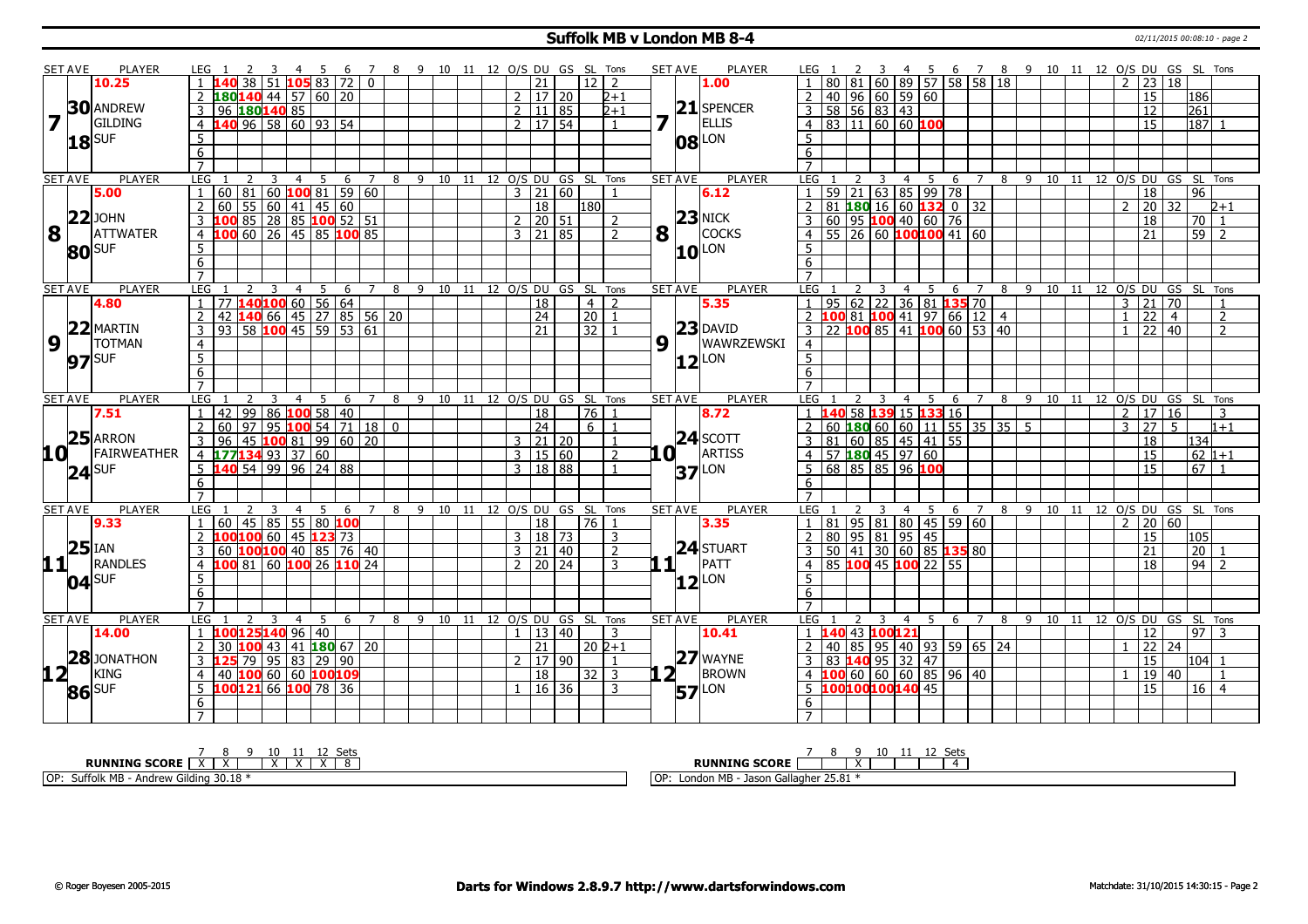## **Suffolk MB v London MB 8-4** 02/11/2015 00:08:10 - page 2

|                         | <b>SET AVE</b> | <b>PLAYER</b>    | LEG 1<br>$\mathcal{L}$                                         | 3                                | 4 5 6 7 8 9 10 11 12 O/S DU GS SL Tons |                 |                |                                |  |               |                     |                     |                 |                | <b>SET AVE</b> | <b>PLAYER</b>           | LEG <sub>1</sub>     |                                                        | $\overline{\mathbf{3}}$ |                |                |                                     |                |     |                                  |  |                |                     | 4 5 6 7 8 9 10 11 12 O/S DU GS SL Tons |                 |                |
|-------------------------|----------------|------------------|----------------------------------------------------------------|----------------------------------|----------------------------------------|-----------------|----------------|--------------------------------|--|---------------|---------------------|---------------------|-----------------|----------------|----------------|-------------------------|----------------------|--------------------------------------------------------|-------------------------|----------------|----------------|-------------------------------------|----------------|-----|----------------------------------|--|----------------|---------------------|----------------------------------------|-----------------|----------------|
|                         |                | 10.25            | 38 l                                                           |                                  | $51$ 105 83 72 0                       |                 |                |                                |  |               | $\overline{21}$     |                     | 12 <sub>1</sub> | $\overline{2}$ |                | 1.00                    |                      | 181 I                                                  |                         |                |                | 60 89 57 58 58 18                   |                |     |                                  |  | 2 <sup>1</sup> | 23 18               |                                        |                 |                |
|                         |                |                  | 2 $180140$ 44 57 60 20                                         |                                  |                                        |                 |                |                                |  |               | 2   17   20         |                     |                 | $2 + 1$        |                |                         | $\overline{2}$       | 40   96   60   59   60                                 |                         |                |                |                                     |                |     |                                  |  |                | 15                  |                                        | 186             |                |
|                         |                | <b>30</b> ANDREW | 3 96 180 140 85                                                |                                  |                                        |                 |                |                                |  |               | $2 \mid 11 \mid 85$ |                     |                 | $2 + 1$        |                | $21$ SPENCER            | $\overline{3}$       | 58   56   83   43                                      |                         |                |                |                                     |                |     |                                  |  |                | 12                  |                                        | 261             |                |
| $\overline{\mathbf{z}}$ |                | <b>GILDING</b>   | 4 140 96 58 60 93 54                                           |                                  |                                        |                 |                |                                |  |               |                     | $2 \mid 17 \mid 54$ |                 | $\overline{1}$ | 7              | <b>ELLIS</b>            |                      |                                                        |                         |                |                |                                     |                |     |                                  |  |                | $\overline{15}$     |                                        |                 |                |
|                         |                |                  |                                                                |                                  |                                        |                 |                |                                |  |               |                     |                     |                 |                |                |                         | $\overline{4}$       | 83 11 60 60 100                                        |                         |                |                |                                     |                |     |                                  |  |                |                     |                                        | 187             |                |
|                         |                | $18$ SUF         | 5                                                              |                                  |                                        |                 |                |                                |  |               |                     |                     |                 |                |                | 08 LON                  | 5                    |                                                        |                         |                |                |                                     |                |     |                                  |  |                |                     |                                        |                 |                |
|                         |                |                  | 6                                                              |                                  |                                        |                 |                |                                |  |               |                     |                     |                 |                |                |                         | $\overline{6}$       |                                                        |                         |                |                |                                     |                |     |                                  |  |                |                     |                                        |                 |                |
|                         |                |                  | $\overline{7}$                                                 |                                  |                                        |                 |                |                                |  |               |                     |                     |                 |                |                |                         | $\overline{7}$       |                                                        |                         |                |                |                                     |                |     |                                  |  |                |                     |                                        |                 |                |
|                         | <b>SET AVE</b> | <b>PLAYER</b>    | <b>LEG</b>                                                     | $\overline{4}$<br>3              | 5<br>6                                 | $\overline{7}$  |                | 8 9 10 11 12 0/S DU GS SL Tons |  |               |                     |                     |                 |                | <b>SET AVE</b> | <b>PLAYER</b>           | <b>LEG</b>           | 2                                                      | 3                       | $\overline{4}$ | 5              | 6                                   | $\overline{7}$ |     | 8 9 10 11 12 0/S DU GS SL Tons   |  |                |                     |                                        |                 |                |
|                         |                | 5.00             | $60 \ 81 \ 60$ 100 81 59 60<br>1                               |                                  |                                        |                 |                |                                |  |               |                     | $3 \ 21 \ 60$       |                 | $\mathbf{1}$   |                | 6.12                    | 59<br>$\mathbf{1}$   | 21                                                     | $63$ 85 99 78           |                |                |                                     |                |     |                                  |  |                | 18                  |                                        | 96              |                |
|                         |                |                  | 60 55 60 41 45 60<br>$\overline{2}$                            |                                  |                                        |                 |                |                                |  |               | 18                  |                     | 180             |                |                |                         | $\overline{2}$<br>81 | $180$ 16 60 132 0 32                                   |                         |                |                |                                     |                |     |                                  |  |                |                     | $2 \mid 20 \mid 32 \mid$               |                 | $2 + 1$        |
|                         |                | $22$ JOHN        | 3 100 85 28 85 100 52 51                                       |                                  |                                        |                 |                |                                |  |               | $2 \mid 20 \mid 51$ |                     |                 | $\mathcal{P}$  |                | $23$ NICK               | 60<br>3              | $95$ 100 40 60 76                                      |                         |                |                |                                     |                |     |                                  |  |                | $\overline{18}$     |                                        | l 70 l          | $\overline{1}$ |
| 8                       |                | <b>ATTWATER</b>  | 4 100 60 26 45 85 100 85                                       |                                  |                                        |                 |                |                                |  |               | 3   21   85         |                     |                 | $\overline{2}$ | 8              | <b>COCKS</b><br>$\pm 1$ | $\overline{4}$       | $55$ 26 60 100 100 41 60                               |                         |                |                |                                     |                |     |                                  |  |                | $\overline{21}$     |                                        | $59$   2        |                |
|                         | $ 80 $ SUF     |                  | $5\overline{)}$                                                |                                  |                                        |                 |                |                                |  |               |                     |                     |                 |                |                | LON<br><b>10</b>        | $\overline{5}$       |                                                        |                         |                |                |                                     |                |     |                                  |  |                |                     |                                        |                 |                |
|                         |                |                  | 6                                                              |                                  |                                        |                 |                |                                |  |               |                     |                     |                 |                |                |                         | 6                    |                                                        |                         |                |                |                                     |                |     |                                  |  |                |                     |                                        |                 |                |
|                         |                |                  | $\overline{7}$                                                 |                                  |                                        |                 |                |                                |  |               |                     |                     |                 |                |                |                         | $\overline{7}$       |                                                        |                         |                |                |                                     |                |     |                                  |  |                |                     |                                        |                 |                |
|                         | <b>SET AVE</b> | PLAYER           | LEG                                                            | 3<br>$\overline{4}$              | 5                                      | $6\overline{7}$ |                | 8 9 10 11 12 0/S DU GS SL Tons |  |               |                     |                     |                 |                | <b>SET AVE</b> | <b>PLAYER</b>           | <b>LEG</b>           |                                                        | 3                       | $\overline{4}$ | 5              | 6                                   | $\overline{7}$ |     | 8 9 10 11 12 0/S DU GS SL Tons   |  |                |                     |                                        |                 |                |
|                         |                | 4.80             | $\overline{1}$                                                 | 140100 60 56 64                  |                                        |                 |                |                                |  |               | $\overline{18}$     |                     | $\overline{4}$  | $\overline{2}$ |                | 5.35                    | 95                   | 62   22                                                |                         |                |                | 36 81 135 70                        |                |     |                                  |  | $\overline{3}$ | $21 \overline{70}$  |                                        |                 |                |
|                         |                |                  | 2<br>42                                                        | $14066$   45   27   85   56   20 |                                        |                 |                |                                |  |               | $\overline{24}$     |                     | $\overline{20}$ | $\mathbf{1}$   |                |                         | $\overline{2}$       | <mark>100</mark> 81 <mark>100</mark> 41   97   66   12 |                         |                |                |                                     | $\overline{4}$ |     |                                  |  |                | $22 \mid 4$         |                                        |                 | $\overline{2}$ |
|                         |                | $22$ MARTIN      | $\overline{3}$                                                 | 93 58 100 45 59 53 61            |                                        |                 |                |                                |  |               | $\overline{21}$     |                     | 32              | $\overline{1}$ |                | $23$ DAVID              | $\overline{3}$<br>22 |                                                        |                         |                |                | $100$ 85 41 $100$ 60 53 40          |                |     |                                  |  |                | 22 40               |                                        |                 | $\overline{2}$ |
| $\boldsymbol{9}$        |                | <b>TOTMAN</b>    | $\overline{4}$                                                 |                                  |                                        |                 |                |                                |  |               |                     |                     |                 |                | 9 <sub>l</sub> | <b>WAWRZEWSKI</b>       | $\overline{4}$       |                                                        |                         |                |                |                                     |                |     |                                  |  |                |                     |                                        |                 |                |
|                         | $97$ SUF       |                  | 5                                                              |                                  |                                        |                 |                |                                |  |               |                     |                     |                 |                |                | $ 12 $ LON              | $\overline{5}$       |                                                        |                         |                |                |                                     |                |     |                                  |  |                |                     |                                        |                 |                |
|                         |                |                  | 6                                                              |                                  |                                        |                 |                |                                |  |               |                     |                     |                 |                |                |                         | $\overline{6}$       |                                                        |                         |                |                |                                     |                |     |                                  |  |                |                     |                                        |                 |                |
|                         |                |                  | $\overline{7}$                                                 |                                  |                                        |                 |                |                                |  |               |                     |                     |                 |                |                |                         | $\overline{7}$       |                                                        |                         |                |                |                                     |                |     |                                  |  |                |                     |                                        |                 |                |
|                         | <b>SET AVE</b> | <b>PLAYER</b>    | LEG                                                            | $\overline{4}$                   | 5 <sup>1</sup><br>6                    | $\overline{7}$  | $\overline{8}$ | 9 10 11 12 0/S DU GS SL Tons   |  |               |                     |                     |                 |                | <b>SET AVE</b> | <b>PLAYER</b>           | <b>LEG</b>           |                                                        | 3                       | $\overline{4}$ | 5              | 6                                   | $7^{\circ}$    | 8   | 9                                |  |                |                     | 10 11 12 0/S DU GS SL Tons             |                 |                |
|                         |                | 7.51             | $1 \mid 42 \mid 99 \mid 86$ 100 58 40                          |                                  |                                        |                 |                |                                |  |               | 18                  |                     | $76$   1        |                |                | 8.72                    | $\mathbf{1}$         |                                                        | 58 139 15 133 16        |                |                |                                     |                |     |                                  |  |                | $2 \mid 17 \mid 16$ |                                        |                 | 3              |
|                         |                |                  | $\overline{2}$<br>$60$   97   95 <b>100</b> 54   71   18   0   |                                  |                                        |                 |                |                                |  |               | 24                  |                     | $6-1$           | $\blacksquare$ |                |                         | $\overline{2}$<br>60 |                                                        |                         |                |                | <b>180</b> 60 60 11 55 35 35        |                | -5. |                                  |  |                | 3 27                | l 5.                                   |                 | $1+1$          |
|                         |                | $25$ ARRON       | 3   96   45   100   81   99   60   20                          |                                  |                                        |                 |                |                                |  |               |                     | $3 \mid 21 \mid 20$ |                 | -1             |                | $24$ SCOTT              | 81<br>$\overline{3}$ |                                                        |                         |                |                |                                     |                |     |                                  |  |                | 18                  |                                        | 134             |                |
| 10 <sup>1</sup>         |                | FAIRWEATHER      | 4 177134 93 37 60                                              |                                  |                                        |                 |                |                                |  |               | 3   15   60         |                     |                 | $\overline{2}$ | 0 I            | <b>ARTISS</b>           | $\overline{4}$       | 57180459760                                            |                         |                |                |                                     |                |     |                                  |  |                | 15                  |                                        | $62 1+1$        |                |
|                         |                |                  | 5 140 54 99 96 24 88                                           |                                  |                                        |                 |                |                                |  |               | 3   18   88         |                     |                 | $\overline{1}$ |                | $37$ <sup>LON</sup>     | $\overline{5}$       | 68 85 85 96 100                                        |                         |                |                |                                     |                |     |                                  |  |                | 15                  |                                        | $\overline{67}$ | $\overline{1}$ |
|                         | $24$ SUF       |                  | 6                                                              |                                  |                                        |                 |                |                                |  |               |                     |                     |                 |                |                |                         |                      |                                                        |                         |                |                |                                     |                |     |                                  |  |                |                     |                                        |                 |                |
|                         |                |                  | $\overline{7}$                                                 |                                  |                                        |                 |                |                                |  |               |                     |                     |                 |                |                |                         |                      |                                                        |                         |                |                |                                     |                |     |                                  |  |                |                     |                                        |                 |                |
|                         |                |                  |                                                                |                                  |                                        |                 |                |                                |  |               |                     |                     |                 |                |                |                         | 6                    |                                                        |                         |                |                |                                     |                |     |                                  |  |                |                     |                                        |                 |                |
| <b>SET AVE</b>          |                |                  |                                                                |                                  |                                        |                 |                |                                |  |               |                     |                     |                 |                |                |                         | $\overline{7}$       |                                                        |                         |                |                |                                     |                |     |                                  |  |                |                     |                                        |                 |                |
|                         |                | <b>PLAYER</b>    | LEG                                                            | $\overline{4}$                   | -5<br>- 6                              | 7               |                | 8 9 10 11 12 O/S DU GS SL Tons |  |               |                     |                     |                 |                | <b>SET AVE</b> | <b>PLAYER</b>           | LEG 1                |                                                        | 3                       | $\overline{4}$ | $\overline{5}$ | 6                                   |                |     | 7 8 9 10 11 12 0/S DU GS SL Tons |  |                |                     |                                        |                 |                |
|                         |                | 9.33             | 60   45   85   55   80   100<br>$\blacksquare$                 |                                  |                                        |                 |                |                                |  |               | 18                  |                     | $76$   1        |                |                | 3.35                    |                      | $81$   95   81   80   45   59   60                     |                         |                |                |                                     |                |     |                                  |  |                | $2 \ 20 \ 60$       |                                        |                 |                |
|                         |                |                  | $\overline{2}$                                                 | 00100 60 45 123 73               |                                        |                 |                |                                |  |               | 3   18   73         |                     |                 | 3              |                |                         | $\overline{2}$<br>80 | 95819545                                               |                         |                |                |                                     |                |     |                                  |  |                | $\overline{15}$     |                                        | 105             |                |
|                         | $ 25 $ IAN     |                  | 3                                                              | 60 100 100 40 85 76 40           |                                        |                 |                |                                |  |               | 3   21   40         |                     |                 | 2              |                | 24 STUART               | 3<br>50              |                                                        |                         |                |                | $\boxed{41}$ 30 60 85 <b>135</b> 80 |                |     |                                  |  |                | 21                  |                                        | $\overline{20}$ |                |
|                         |                | <b>RANDLES</b>   | <b>100</b> 81 60 <b>100</b> 26 <b>110</b> 24<br>$\overline{4}$ |                                  |                                        |                 |                |                                |  |               | 2   20   24         |                     |                 | $\overline{3}$ | L1 1           | PATT                    | 85<br>$\overline{4}$ | $100$ 45 $100$ 22 55                                   |                         |                |                |                                     |                |     |                                  |  |                | $\overline{18}$     |                                        | 94              | $\overline{2}$ |
|                         |                |                  | 5                                                              |                                  |                                        |                 |                |                                |  |               |                     |                     |                 |                |                |                         | 5                    |                                                        |                         |                |                |                                     |                |     |                                  |  |                |                     |                                        |                 |                |
|                         | $ 04 $ SUF     |                  | 6                                                              |                                  |                                        |                 |                |                                |  |               |                     |                     |                 |                |                | $12$ LON                | 6                    |                                                        |                         |                |                |                                     |                |     |                                  |  |                |                     |                                        |                 |                |
|                         |                |                  | $\overline{7}$                                                 |                                  |                                        |                 |                |                                |  |               |                     |                     |                 |                |                |                         | $\overline{7}$       |                                                        |                         |                |                |                                     |                |     |                                  |  |                |                     |                                        |                 |                |
|                         | <b>SET AVE</b> | <b>PLAYER</b>    | LEG                                                            | 3<br>4                           | -5<br>6                                | $\overline{7}$  | 8              | 9 10 11 12 O/S DU GS SL Tons   |  |               |                     |                     |                 |                | <b>SET AVE</b> | <b>PLAYER</b>           | LEG                  |                                                        | 3                       | $\overline{4}$ | 5.             | 6                                   | $\overline{7}$ | 8   | 9                                |  |                |                     | 10 11 12 O/S DU GS SL Tons             |                 |                |
|                         |                | 14.00            | 1 100125140 96 40                                              |                                  |                                        |                 |                |                                |  |               |                     | 13 40               |                 | 3              |                | 10.41                   | $\mathbf{1}$         | 140 43 100 121                                         |                         |                |                |                                     |                |     |                                  |  |                | 12                  |                                        | 97   3          |                |
|                         |                |                  | 30 100 43 41 180 67 20<br>$\overline{2}$                       |                                  |                                        |                 |                |                                |  |               | $\overline{21}$     |                     | $20\,$ $2+1$    |                |                |                         | $\overline{2}$<br>40 |                                                        |                         |                |                | 85 95 40 93 59 65 24                |                |     |                                  |  |                | 22 24               |                                        |                 |                |
|                         |                | $ 28 $ JONATHON  | $\overline{3}$ $\overline{1}$                                  | 79 95 83 29 90                   |                                        |                 |                |                                |  | $\mathcal{D}$ |                     | 17190               |                 | $\mathbf{1}$   |                | $27$ WAYNE              | $\overline{3}$<br>83 | $140$ 95 32 47                                         |                         |                |                |                                     |                |     |                                  |  |                | 15                  |                                        | 104             |                |
|                         |                | KING             | 4 4 6 100 60 60 100 109                                        |                                  |                                        |                 |                |                                |  |               | 18                  |                     | $32$ 3          |                | $2^{\top}$     | <b>BROWN</b>            | $\overline{4}$       | $100$ 60 60 60 85 96 40                                |                         |                |                |                                     |                |     |                                  |  |                | 19 40               |                                        |                 | $\mathbf{1}$   |
|                         |                |                  | 100121 66 100 78 36<br>$\overline{5}$                          |                                  |                                        |                 |                |                                |  |               |                     | 16 36               |                 | 3              |                |                         | $\overline{5}$       | 100100100140 45                                        |                         |                |                |                                     |                |     |                                  |  |                | $\overline{15}$     |                                        | $16 \mid 4$     |                |
| 11    <br>$12^{\top}$   |                | $86$ SUF         |                                                                |                                  |                                        |                 |                |                                |  |               |                     |                     |                 |                |                | <b>57</b> LON           |                      |                                                        |                         |                |                |                                     |                |     |                                  |  |                |                     |                                        |                 |                |
|                         |                |                  | 6<br>$\overline{7}$                                            |                                  |                                        |                 |                |                                |  |               |                     |                     |                 |                |                |                         | 6<br>$\overline{7}$  |                                                        |                         |                |                |                                     |                |     |                                  |  |                |                     |                                        |                 |                |

|                                                                            | $\overline{ }$<br>$-1$                                                                      |
|----------------------------------------------------------------------------|---------------------------------------------------------------------------------------------|
| <b>RUNNING SCORE</b><br>. .                                                | <b>RUNNING SCORE</b>                                                                        |
| $\sim$ $\sim$<br>IOP:<br>Gilding 30.18<br>Suffolk MB<br>$.$ Androw $\cdot$ | <b>IOP</b><br>- Jason Gallagher - ر<br><b>DE 01</b><br>$1$ and an $M'$<br>London Mi<br>0.כ∠ |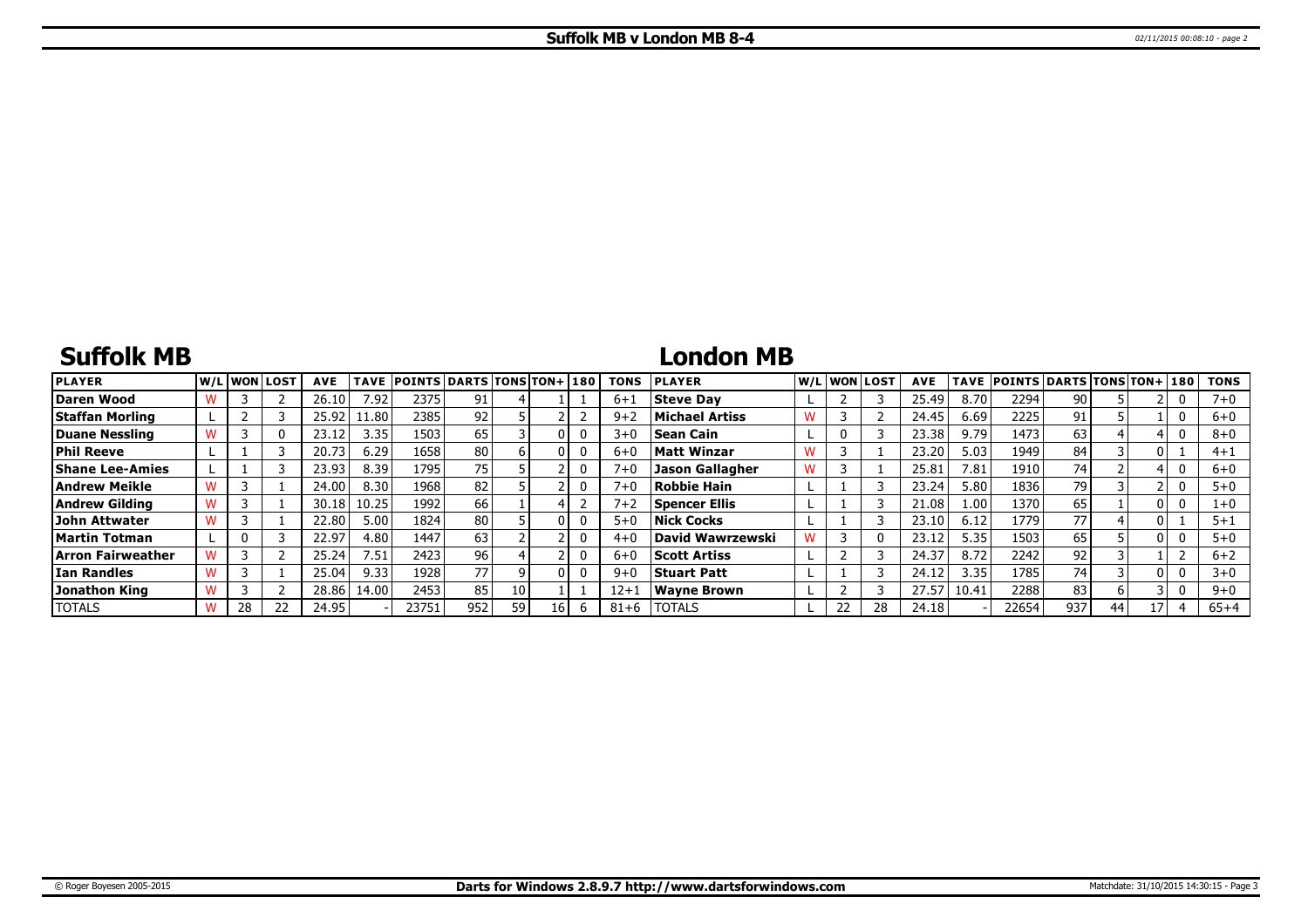# **Suffolk MB**

# **London MB**

| <b>PLAYER</b>        |    | W/Liwonilost! | <b>AVE</b> | <b>TAVE</b>          | <b>POINTS DARTS TONS TON+1180</b> |     |    |    |   | <b>TONS</b> | <b>PLAYER</b>          |   |    | W/L WON LOST | <b>AVE</b> | TAVE  | POINTS   DARTS   TONS   TON+   180 |      |    |     |          | <b>TONS</b> |
|----------------------|----|---------------|------------|----------------------|-----------------------------------|-----|----|----|---|-------------|------------------------|---|----|--------------|------------|-------|------------------------------------|------|----|-----|----------|-------------|
| Daren Wood           |    |               | 26.10      | 7.92                 | 2375                              | 91  |    |    |   | $6 + 1$     | Steve Dav              |   |    |              | 25.49      | 8.70  | 2294                               | 90   |    |     | υ        | $7 + 0$     |
| Staffan Morling      |    |               | 25.92      | $11.80$ <sup>1</sup> | 2385                              | 92  |    |    |   | $9+2$       | Michael Artiss         | W |    |              | 24.45      | 6.69  | 2225                               | 91   |    |     | 0        | $6+0$       |
| Duane Nessling       |    |               | 23.12      | 3.35                 | 1503                              | 65  |    |    | 0 | $3 + 0$     | <b>Sean Cain</b>       |   |    |              | 23.38      | 9.79  | 1473                               | 63   |    |     | 0        | $8 + 0$     |
| Phil Reeve           |    |               | 20.73      | 6.29                 | 1658                              | 80  |    |    | 0 | $6 + 0$     | Matt Winzar            |   |    |              | 23.20      | 5.03  | 1949                               | 84   |    |     |          | $4 + 1$     |
| Shane Lee-Amies      |    |               | 23.93      | 8.39                 | 1795                              | 75  |    |    | 0 | $7 + 0$     | <b>Jason Gallagher</b> |   |    |              | 25.81      | 7.81  | 1910                               | 74 I |    |     | 0        | $6 + 0$     |
| Andrew Meikle        |    |               | 24.00      | 8.30                 | 1968                              | 82  |    |    |   | $7 + 0$     | Robbie Hain            |   |    |              | 23.24      | 5.80  | 1836                               | 79   |    |     |          | $5 + 0$     |
| Andrew Gildina       |    |               | 30.18      | 10.25                | 1992                              | 66  |    |    |   | $7 + 2$     | Spencer Ellis          |   |    |              | 21.08      | 1.00  | 1370                               | 65   |    | 0 I | υ        | 1+0         |
| <b>John Attwater</b> |    |               | 22.80      | 5.00                 | 1824                              | 80  |    |    | 0 | $5 + 0$     | <b>Nick Cocks</b>      |   |    |              | 23.10      | 6.12  | 1779                               |      |    |     |          | $5 + 1$     |
| Martin Totman        |    |               | 22.97      | 4.80 l               | 1447                              | 63  |    |    |   | $4 + 0$     | David Wawrzewski       |   |    |              | 23.12      | 5.35  | 1503                               | 65   |    | 0 I |          | $5 + 0$     |
| Arron Fairweather    |    |               | 25.24      | 7.51                 | 2423                              | 96  |    |    | 0 | $6 + 0$     | <b>Scott Artiss</b>    |   |    |              | 24.37      | 8.72  | 2242                               | 92   |    |     |          | $6 + 2$     |
| Ian Randles          |    |               | 25.04      | 9.33                 | 1928                              |     |    |    | 0 | $9 + 0$     | <b>Stuart Patt</b>     |   |    |              | 24.12      | 3.35  | 1785                               | 74   |    | 0 I | $\Omega$ | $3 + 0$     |
| Jonathon King        |    |               | 28.86      | 14.00                | 2453                              | 85  | 10 |    |   | $12 + 1$    | Wavne Brown            |   |    |              | 27.57      | 10.41 | 2288                               | 83   |    |     |          | $9 + 0$     |
| <b>TOTALS</b>        | 28 | 22            | 24.95      |                      | 23751                             | 952 | 59 | 16 | b | $81 + 6$    | <b>TOTALS</b>          |   | 22 | 28           | 24.18      |       | 22654                              | 937  | 44 |     |          | $65 + 4$    |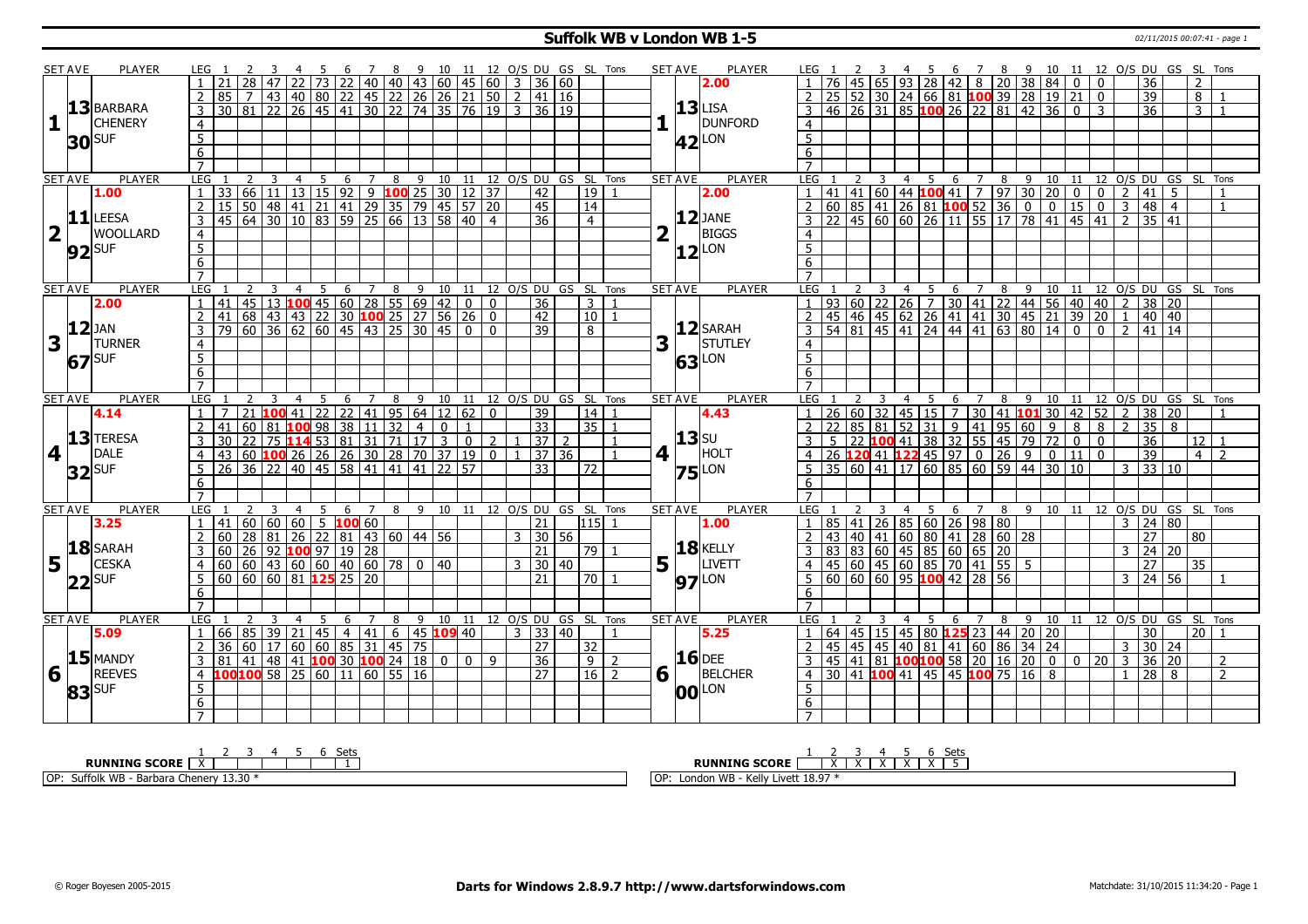## **Suffolk WB v London WB 1-5** 02/11/2015 00:07:41 - page 1

|                         | <b>SET AVE</b> | <b>PLAYER</b>              | LEG 1               |                                                                                                                 |                |                | - 5             | - 6                     |                |                | 7 8 9 10 11 12 O/S DU GS SL Tons |                              |                |                |                     |                   |                          |             | <b>SET AVE</b>      | PLAYER         |                                  |                 |                  |                 |                 |                | - 6 | 78                                                                                                                |   | - 9 |      |                                      |              |                    |                 | 10 11 12 O/S DU GS SL Tons       |                |                |
|-------------------------|----------------|----------------------------|---------------------|-----------------------------------------------------------------------------------------------------------------|----------------|----------------|-----------------|-------------------------|----------------|----------------|----------------------------------|------------------------------|----------------|----------------|---------------------|-------------------|--------------------------|-------------|---------------------|----------------|----------------------------------|-----------------|------------------|-----------------|-----------------|----------------|-----|-------------------------------------------------------------------------------------------------------------------|---|-----|------|--------------------------------------|--------------|--------------------|-----------------|----------------------------------|----------------|----------------|
|                         |                |                            | $\overline{1}$      |                                                                                                                 |                |                |                 |                         |                |                |                                  |                              |                |                |                     |                   |                          |             |                     | 2.00           |                                  | 76              | 45               |                 |                 |                |     | 65   93   28   42   8   20   38   84   0   0                                                                      |   |     |      |                                      |              |                    | 36              |                                  | 2              |                |
|                         |                |                            |                     | 21 28 47 22 73 22 40 40 43 60 45 60 3 36 60<br>85 7 43 40 80 22 45 22 26 26 21 50 2 41 16<br>2 85               |                |                |                 |                         |                |                |                                  |                              |                |                |                     |                   |                          |             |                     |                | $\overline{2}$                   | $\overline{25}$ | 52               | 30              |                 |                |     | $24   66   81   100   39   28   19   21   0$                                                                      |   |     |      |                                      |              |                    | 39              |                                  | 8              |                |
|                         |                | $ 13 $ BARBARA             | $\overline{3}$      | 30 81 22 26 45 41 30 22 74 35 76 19                                                                             |                |                |                 |                         |                |                |                                  |                              |                |                | $3 \mid 36 \mid 19$ |                   |                          |             | $13$ LISA           |                | $\mathbf{3}$                     |                 | $46$   26   31   |                 |                 |                |     | $85$ 100 26 22 81 42 36 0                                                                                         |   |     |      |                                      | $\mathbf{3}$ |                    | $\overline{36}$ |                                  | $\overline{3}$ |                |
|                         |                | <b>CHENERY</b>             |                     |                                                                                                                 |                |                |                 |                         |                |                |                                  |                              |                |                |                     |                   |                          |             |                     | <b>DUNFORD</b> |                                  |                 |                  |                 |                 |                |     |                                                                                                                   |   |     |      |                                      |              |                    |                 |                                  |                |                |
| 1                       |                |                            | $\overline{4}$      |                                                                                                                 |                |                |                 |                         |                |                |                                  |                              |                |                |                     |                   |                          |             |                     |                | $\overline{4}$                   |                 |                  |                 |                 |                |     |                                                                                                                   |   |     |      |                                      |              |                    |                 |                                  |                |                |
|                         |                | $30$ SUF                   | $\overline{5}$      |                                                                                                                 |                |                |                 |                         |                |                |                                  |                              |                |                |                     |                   |                          |             | 42 <sup>LON</sup>   |                | $\frac{5}{6}$                    |                 |                  |                 |                 |                |     |                                                                                                                   |   |     |      |                                      |              |                    |                 |                                  |                |                |
|                         |                |                            | $\overline{6}$      |                                                                                                                 |                |                |                 |                         |                |                |                                  |                              |                |                |                     |                   |                          |             |                     |                |                                  |                 |                  |                 |                 |                |     |                                                                                                                   |   |     |      |                                      |              |                    |                 |                                  |                |                |
|                         |                |                            | $\overline{7}$      |                                                                                                                 |                |                |                 |                         |                |                |                                  |                              |                |                |                     |                   |                          |             |                     |                | $\overline{7}$                   |                 |                  |                 |                 |                |     |                                                                                                                   |   |     |      |                                      |              |                    |                 |                                  |                |                |
|                         | <b>SET AVE</b> | <b>PLAYER</b>              | <b>LEG</b>          | <u>LEG 1 2 3 4 5 6 7 8 9 10 11 12 0/5 DU GS SL Tons</u><br>1 33 66 11 13 15 92 9 <b>100</b> 25 30 12 37 42 19 1 |                |                |                 |                         |                |                |                                  |                              |                |                |                     |                   |                          |             | <b>SET AVE</b>      | <b>PLAYER</b>  | LEG 1                            |                 |                  |                 |                 |                |     | 3 4 5 6 7 8 9 10 11 12 0/5 DU GS SL TOns<br> 60  44 <mark>100</mark> 41   7  97   30   20   0   0   2  41   5   1 |   |     |      |                                      |              |                    |                 |                                  |                |                |
|                         |                | 1.00                       |                     |                                                                                                                 |                |                |                 |                         |                |                |                                  |                              |                |                |                     |                   |                          |             |                     | 2.00           |                                  | 41              | 41               |                 |                 |                |     |                                                                                                                   |   |     |      |                                      |              |                    |                 |                                  |                |                |
|                         |                |                            |                     | 2   15   50   48   41   21   41   29   35   79   45   57   20                                                   |                |                |                 |                         |                |                |                                  |                              |                |                | 45                  | $\overline{14}$   |                          |             |                     |                | $\overline{2}$                   |                 | 60   85   41     |                 |                 |                |     | $26 \ 81 \ 100 \ 52 \ 36 \ 0 \ 0 \ 15 \ 0$                                                                        |   |     |      |                                      |              | $\overline{3}$     | 48 4            |                                  |                | $\mathbf{1}$   |
|                         |                | $11$ LEESA                 | $\overline{3}$      | 45   64   30   10   83   59   25   66   13   58   40                                                            |                |                |                 |                         |                |                |                                  |                              |                | $\overline{4}$ | $\overline{36}$     | $\overline{4}$    |                          |             | $12$ JANE           |                | 3                                |                 |                  |                 |                 |                |     | 45   60   60   26   11   55   17   78   41   45   41                                                              |   |     |      |                                      |              | $\overline{2}$     | 35 41           |                                  |                |                |
| $\overline{\mathbf{2}}$ |                | <b>WOOLLARD</b>            | $\overline{4}$      |                                                                                                                 |                |                |                 |                         |                |                |                                  |                              |                |                |                     |                   |                          | 2           |                     | <b>BIGGS</b>   | $\overline{4}$                   |                 |                  |                 |                 |                |     |                                                                                                                   |   |     |      |                                      |              |                    |                 |                                  |                |                |
|                         |                | $92$ SUF                   | $\overline{5}$      |                                                                                                                 |                |                |                 |                         |                |                |                                  |                              |                |                |                     |                   |                          |             | $12$ LON            |                | $\overline{5}$                   |                 |                  |                 |                 |                |     |                                                                                                                   |   |     |      |                                      |              |                    |                 |                                  |                |                |
|                         |                |                            | 6                   |                                                                                                                 |                |                |                 |                         |                |                |                                  |                              |                |                |                     |                   |                          |             |                     |                | $6\overline{6}$                  |                 |                  |                 |                 |                |     |                                                                                                                   |   |     |      |                                      |              |                    |                 |                                  |                |                |
|                         |                |                            | $\overline{7}$      |                                                                                                                 |                |                |                 |                         |                |                |                                  |                              |                |                |                     |                   |                          |             |                     |                |                                  |                 |                  |                 |                 |                |     |                                                                                                                   |   |     |      |                                      |              |                    |                 |                                  |                |                |
|                         | <b>SET AVE</b> | PLAYER                     | LEG                 |                                                                                                                 |                | $\overline{4}$ | 5               | 6                       | $\overline{7}$ | $\overline{8}$ |                                  | 9 10 11 12 O/S DU GS SL Tons |                |                |                     |                   |                          |             | <b>SET AVE</b>      | <b>PLAYER</b>  | LEG                              |                 |                  | 3               | $\overline{4}$  | 5 <sup>5</sup> | 6   | $7^{\circ}$                                                                                                       |   |     |      |                                      |              |                    |                 | 8 9 10 11 12 O/S DU GS SL Tons   |                |                |
|                         |                | 2.00                       | $\overline{1}$      | $41$   45   13   100   45   60   28   55   69   42                                                              |                |                |                 |                         |                |                |                                  |                              | $\overline{0}$ | $\Omega$       | $\overline{36}$     | $\overline{3}$    |                          |             |                     |                |                                  | 93              | $\overline{60}$  | $\sqrt{22}$     |                 |                |     | 26   7   30   41   22   44   56   40   40   2   38   20                                                           |   |     |      |                                      |              |                    |                 |                                  |                |                |
|                         |                |                            | $\overline{2}$      | 41 68 43 43 22 30 100 25 27 56                                                                                  |                |                |                 |                         |                |                |                                  |                              | 26             | $\mathbf 0$    | 42                  | 10                | $\overline{1}$           |             |                     |                | $\overline{2}$                   |                 |                  |                 |                 |                |     |                                                                                                                   |   |     |      |                                      |              |                    |                 |                                  |                |                |
|                         | $ 12 $ JAN     |                            |                     | $3   79   60   36   62   60   45   43   25   30   45   0$                                                       |                |                |                 |                         |                |                |                                  |                              |                | $\Omega$       | $\overline{39}$     | $\overline{8}$    |                          |             |                     | $12$ SARAH     | $\overline{3}$                   |                 |                  |                 |                 |                |     |                                                                                                                   |   |     |      |                                      |              |                    |                 |                                  |                |                |
| 3                       |                | <b>TURNER</b>              | $\overline{4}$      |                                                                                                                 |                |                |                 |                         |                |                |                                  |                              |                |                |                     |                   |                          | 3           |                     | STUTLEY        | $\overline{4}$                   |                 |                  |                 |                 |                |     |                                                                                                                   |   |     |      |                                      |              |                    |                 |                                  |                |                |
|                         |                |                            | 5                   |                                                                                                                 |                |                |                 |                         |                |                |                                  |                              |                |                |                     |                   |                          |             |                     |                | $\overline{5}$                   |                 |                  |                 |                 |                |     |                                                                                                                   |   |     |      |                                      |              |                    |                 |                                  |                |                |
|                         |                | $67$ SUF                   |                     |                                                                                                                 |                |                |                 |                         |                |                |                                  |                              |                |                |                     |                   |                          |             | 63                  | Lon            |                                  |                 |                  |                 |                 |                |     |                                                                                                                   |   |     |      |                                      |              |                    |                 |                                  |                |                |
|                         |                |                            | 6<br>$\overline{7}$ |                                                                                                                 |                |                |                 |                         |                |                |                                  |                              |                |                |                     |                   |                          |             |                     |                | $\overline{6}$<br>$\overline{7}$ |                 |                  |                 |                 |                |     |                                                                                                                   |   |     |      |                                      |              |                    |                 |                                  |                |                |
|                         |                | <b>PLAYER</b>              | <b>LEG</b>          |                                                                                                                 | $\overline{3}$ | 4              | $\overline{5}$  | $6\overline{}$          |                |                | 7 8 9 10 11 12 O/S DU GS SL Tons |                              |                |                |                     |                   |                          |             |                     | <b>PLAYER</b>  |                                  |                 |                  |                 |                 |                |     |                                                                                                                   |   |     |      |                                      |              |                    |                 |                                  |                |                |
| <b>SET AVE</b>          |                |                            |                     |                                                                                                                 |                |                |                 |                         |                |                |                                  |                              |                |                |                     |                   |                          |             | <b>SET AVE</b>      |                | LEG <sub>1</sub>                 |                 |                  | 3               | $\overline{4}$  | 5              | 6   |                                                                                                                   |   |     |      |                                      |              |                    |                 | 7 8 9 10 11 12 O/S DU GS SL Tons |                |                |
|                         |                |                            |                     |                                                                                                                 |                |                |                 |                         |                |                |                                  |                              |                |                |                     |                   |                          |             |                     |                |                                  |                 |                  |                 |                 |                |     |                                                                                                                   |   |     |      |                                      |              |                    |                 |                                  |                |                |
|                         |                | 4.14                       |                     |                                                                                                                 |                |                |                 |                         |                |                |                                  |                              |                |                | 39                  | 14                |                          |             |                     | 4.43           | $\mathbf{1}$                     |                 |                  |                 |                 |                |     | 26 60 32 45 15 7 30 41 101 30 42 52 2 38 20                                                                       |   |     |      |                                      |              |                    |                 |                                  |                |                |
|                         |                |                            |                     | 1 7 21 <b>100</b> 41 22 22 41 95 64 12 62 0<br>2 41 60 81 <b>100</b> 98 38 11 32 4 0 1                          |                |                |                 |                         |                |                |                                  |                              |                |                | $\overline{33}$     | 35                |                          |             |                     |                | $\overline{2}$                   |                 | 85               | 81              | $\overline{52}$ |                |     | $31$ 9 41 95 60 9 8 8                                                                                             |   |     |      |                                      |              | $2 \mid 35 \mid 8$ |                 |                                  |                |                |
|                         |                | $ 13 $ TERESA              |                     | $3$   30   22   75   114   53   81   31   71   17   3                                                           |                |                |                 |                         |                |                |                                  |                              | $\overline{0}$ | $\mathcal{P}$  | 37 2                |                   | $\overline{1}$           |             | $13$ su             |                | 3                                |                 | $\sqrt{5}$   22  |                 |                 |                |     | $100$ 41 38 32 55 45 79 72 0 0                                                                                    |   |     |      |                                      |              |                    | 36              |                                  | 12             |                |
| $\overline{\mathbf{4}}$ |                | DALE                       | 4 <sup>1</sup>      | 43 60 <b>100</b> 26 26 26 30 28 70 37 19                                                                        |                |                |                 |                         |                |                |                                  |                              |                | $\mathbf{0}$   | 37 36               |                   |                          | 4           |                     | HOLT           | $\overline{4}$                   | $\overline{26}$ |                  |                 |                 |                |     | $120$ 41 $122$ 45 97 0 26 9                                                                                       |   |     |      | $\boxed{0}$ $\boxed{11}$ $\boxed{0}$ |              |                    | 39              |                                  | 4 <sup>1</sup> | $\overline{2}$ |
|                         |                |                            | 5                   | $26$ 36 22                                                                                                      |                |                |                 | 40 45 58 41 41 41 22 57 |                |                |                                  |                              |                |                | $\overline{33}$     | $\overline{72}$   |                          |             |                     |                |                                  | 35              | 60 41            |                 | $\overline{17}$ |                |     | $60 \ 85 \ 60 \ 59 \ 44 \ 30 \ 10$                                                                                |   |     |      |                                      |              | $\mathbf{3}$       |                 | 33 10                            |                |                |
|                         |                | $32$ SUF                   | 6                   |                                                                                                                 |                |                |                 |                         |                |                |                                  |                              |                |                |                     |                   |                          |             | $75$ <sup>LON</sup> |                | 6                                |                 |                  |                 |                 |                |     |                                                                                                                   |   |     |      |                                      |              |                    |                 |                                  |                |                |
|                         |                |                            | $\overline{7}$      |                                                                                                                 |                |                |                 |                         |                |                |                                  |                              |                |                |                     |                   |                          |             |                     |                | $\overline{7}$                   |                 |                  |                 |                 |                |     |                                                                                                                   |   |     |      |                                      |              |                    |                 |                                  |                |                |
|                         | <b>SET AVE</b> | <b>PLAYER</b>              | LEG                 |                                                                                                                 |                | 4              | - 5             | 6                       |                | 8              |                                  | 9 10 11 12 0/S DU GS SL      |                |                |                     |                   | Tons                     |             | <b>SET AVE</b>      | <b>PLAYER</b>  | LEG                              |                 |                  |                 | 4               | 5              | 6   |                                                                                                                   | 8 |     | 9 10 | 11                                   |              |                    |                 | 12 O/S DU GS SL Tons             |                |                |
|                         |                | 3.25                       | $\overline{1}$      | 41 60 60 60                                                                                                     |                |                |                 | $5 \t100 \t60$          |                |                |                                  |                              |                |                | $\overline{21}$     | $115$ 1           |                          |             |                     | 1.00           |                                  | 85              | $\overline{141}$ | $\overline{26}$ |                 |                |     | 85   60   26   98   80                                                                                            |   |     |      |                                      |              | $\mathbf{R}$       |                 | 24 80                            |                |                |
|                         |                |                            |                     | 2 60 28 81 26 22 81 43 60 44 56                                                                                 |                |                |                 |                         |                |                |                                  |                              |                |                | $3 \mid 30 \mid 56$ |                   |                          |             |                     |                | $\overline{2}$                   |                 |                  |                 |                 |                |     |                                                                                                                   |   |     |      |                                      |              |                    | $\overline{27}$ |                                  | $ 80\rangle$   |                |
|                         |                |                            | $\overline{3}$      |                                                                                                                 |                |                |                 |                         |                |                |                                  |                              |                |                | $\overline{21}$     | $\overline{79}$ 1 |                          |             | <b>18 KELLY</b>     |                | $\overline{3}$                   |                 |                  |                 |                 |                |     |                                                                                                                   |   |     |      |                                      |              | 3                  |                 | 24 20                            |                |                |
|                         |                | $18$ SARAH<br><b>CESKA</b> |                     | 60 26 92 100 97 19 28                                                                                           |                |                |                 |                         |                |                |                                  |                              |                |                | 3 30 40             |                   |                          |             | H.                  | <b>LIVETT</b>  | $\overline{4}$                   |                 |                  |                 |                 |                |     |                                                                                                                   |   |     |      |                                      |              |                    | 27              |                                  | 35             |                |
| 5                       |                |                            | 5                   | $4   60   60   43   60   60   40   60   78   0   40$                                                            |                |                |                 |                         |                |                |                                  |                              |                |                | 21                  | 70 1              |                          | 5           |                     |                |                                  |                 |                  |                 |                 |                |     |                                                                                                                   |   |     |      |                                      |              |                    |                 | $3 \mid 24 \mid 56$              |                |                |
|                         |                | $ 22 $ SUF                 |                     | $60   60   60   81$ 125 25 20                                                                                   |                |                |                 |                         |                |                |                                  |                              |                |                |                     |                   |                          |             | <b>97</b> LON       |                | 5                                |                 |                  |                 |                 |                |     | 43 40 41 60 80 41 28 60 28<br>83 83 60 45 85 60 65 20<br>45 60 45 60 85 70 41 55 5<br>60 60 60 95 100 42 28 56    |   |     |      |                                      |              |                    |                 |                                  |                |                |
|                         |                |                            | 6<br>$\overline{7}$ |                                                                                                                 |                |                |                 |                         |                |                |                                  |                              |                |                |                     |                   |                          |             |                     |                | 6<br>$\overline{7}$              |                 |                  |                 |                 |                |     |                                                                                                                   |   |     |      |                                      |              |                    |                 |                                  |                |                |
|                         |                |                            |                     |                                                                                                                 |                |                |                 |                         |                |                |                                  |                              |                |                |                     |                   |                          |             |                     |                |                                  |                 |                  |                 |                 |                |     |                                                                                                                   |   |     |      |                                      |              |                    |                 |                                  |                |                |
|                         | <b>SET AVE</b> | <b>PLAYER</b>              | LEG                 |                                                                                                                 |                | $\overline{4}$ | $5\overline{)}$ | 6                       | $\overline{7}$ | 8              |                                  | 9 10 11 12 0/S DU GS SL Tons |                |                |                     |                   |                          |             | <b>SET AVE</b>      | <b>PLAYER</b>  | LEG                              |                 |                  |                 |                 | 5              | 6   | $\overline{7}$                                                                                                    | 8 |     |      |                                      |              |                    |                 | 9 10 11 12 0/S DU GS SL Tons     |                |                |
|                         |                | 5.09                       | $\mathbf{1}$        | 66   85   39   21   45   4   41   6   45 <b>109</b> 40                                                          |                |                |                 |                         |                |                |                                  |                              |                |                | $3 \mid 33 \mid 40$ |                   |                          |             |                     | 5.25           | $\mathbf{1}$                     |                 |                  |                 |                 |                |     | 64 45 15 45 80 125 23 44 20 20                                                                                    |   |     |      |                                      |              |                    | 30              |                                  | l 20 l         |                |
|                         |                |                            |                     | 2 36 60 17 60 60 85 31 45 75                                                                                    |                |                |                 |                         |                |                |                                  |                              |                |                | 27                  | 32                |                          |             |                     |                | $2^{\circ}$                      |                 |                  |                 |                 |                |     | 45 45 45 40 81 41 60 86 34 24                                                                                     |   |     |      |                                      |              |                    |                 | $3 \ 30 \ 24$                    |                |                |
|                         |                | $15$ MANDY                 |                     |                                                                                                                 |                |                |                 |                         |                |                |                                  |                              | $\Omega$       | 9              | 36                  | 9                 | $\overline{\phantom{a}}$ |             | $16$ DEE            |                | $\overline{3}$                   | 45              |                  |                 |                 |                |     | 141 81 <b>100100</b> 58 20 16 20 0 0 20 3 36 20                                                                   |   |     |      |                                      |              |                    |                 |                                  |                | $\overline{2}$ |
| 6                       |                | <b>REEVES</b>              |                     | 4 100 100 58 25 60 11 60 55 16                                                                                  |                |                |                 |                         |                |                |                                  |                              |                |                | $\overline{27}$     | $16$ 2            |                          | $6\sqrt{1}$ |                     | <b>BELCHER</b> | $\overline{4}$                   |                 |                  |                 |                 |                |     | $\frac{130}{30}$ 41 <b>100</b> 41 45 45 <b>100</b> 75 16 8                                                        |   |     |      |                                      |              |                    | $1 \ 28 \ 8$    |                                  |                | $\overline{2}$ |
|                         |                |                            | 5                   |                                                                                                                 |                |                |                 |                         |                |                |                                  |                              |                |                |                     |                   |                          |             | <b>00</b> LON       |                | 5                                |                 |                  |                 |                 |                |     |                                                                                                                   |   |     |      |                                      |              |                    |                 |                                  |                |                |
|                         |                | $ 83 $ SUF                 | 6<br>$\overline{7}$ |                                                                                                                 |                |                |                 |                         |                |                |                                  |                              |                |                |                     |                   |                          |             |                     |                | 6                                |                 |                  |                 |                 |                |     |                                                                                                                   |   |     |      |                                      |              |                    |                 |                                  |                |                |

| ن†ھ ک<br>$-1$                                           | ⊾∽                                                       |
|---------------------------------------------------------|----------------------------------------------------------|
| <b>RUNNING SCORE</b>                                    | <b>RUNNING SCORE</b>                                     |
| l OP:<br>∵ -uırolk WB - P<br>Chener<br>` - Barbara<br>ر | l OP.<br>$V \cap W$<br>ondon WB<br>Livell 10.9.<br>ווסאו |